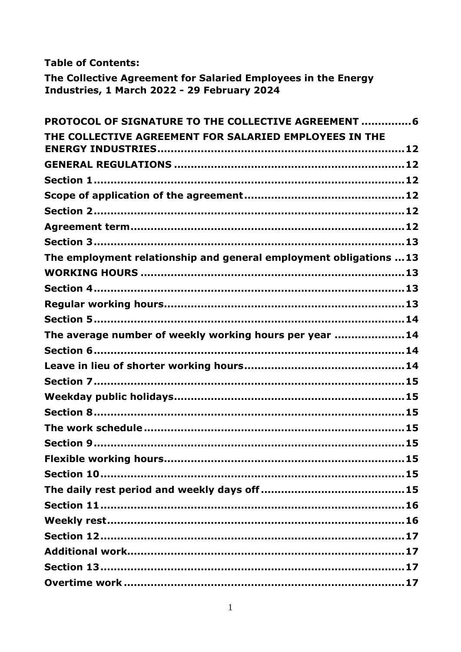**Table of Contents:** 

The Collective Agreement for Salaried Employees in the Energy Industries, 1 March 2022 - 29 February 2024

| PROTOCOL OF SIGNATURE TO THE COLLECTIVE AGREEMENT 6               |
|-------------------------------------------------------------------|
| THE COLLECTIVE AGREEMENT FOR SALARIED EMPLOYEES IN THE            |
|                                                                   |
|                                                                   |
|                                                                   |
|                                                                   |
|                                                                   |
|                                                                   |
| The employment relationship and general employment obligations 13 |
|                                                                   |
|                                                                   |
|                                                                   |
|                                                                   |
| The average number of weekly working hours per year  14           |
|                                                                   |
|                                                                   |
|                                                                   |
|                                                                   |
|                                                                   |
|                                                                   |
|                                                                   |
|                                                                   |
|                                                                   |
|                                                                   |
|                                                                   |
|                                                                   |
|                                                                   |
|                                                                   |
|                                                                   |
|                                                                   |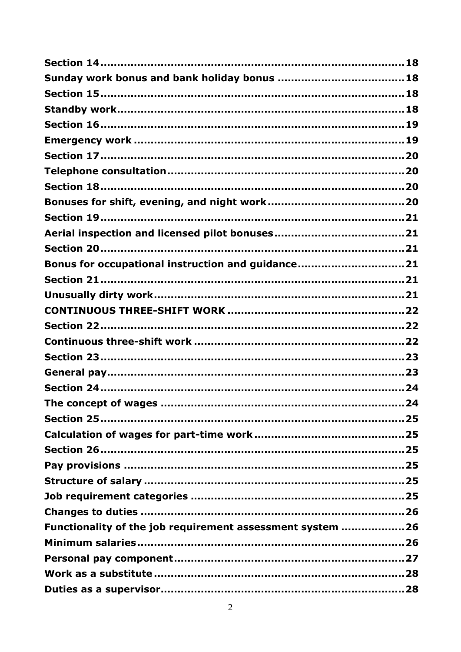| Bonus for occupational instruction and guidance21          |
|------------------------------------------------------------|
|                                                            |
|                                                            |
|                                                            |
|                                                            |
|                                                            |
|                                                            |
|                                                            |
|                                                            |
| .24                                                        |
|                                                            |
|                                                            |
|                                                            |
|                                                            |
|                                                            |
|                                                            |
|                                                            |
| Functionality of the job requirement assessment system  26 |
|                                                            |
|                                                            |
|                                                            |
|                                                            |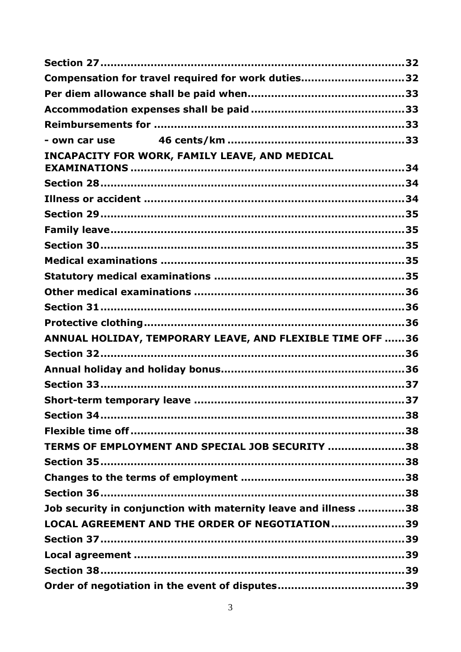| Compensation for travel required for work duties32              |  |
|-----------------------------------------------------------------|--|
|                                                                 |  |
|                                                                 |  |
|                                                                 |  |
|                                                                 |  |
| INCAPACITY FOR WORK, FAMILY LEAVE, AND MEDICAL                  |  |
|                                                                 |  |
|                                                                 |  |
|                                                                 |  |
|                                                                 |  |
|                                                                 |  |
|                                                                 |  |
|                                                                 |  |
|                                                                 |  |
|                                                                 |  |
|                                                                 |  |
| ANNUAL HOLIDAY, TEMPORARY LEAVE, AND FLEXIBLE TIME OFF 36       |  |
|                                                                 |  |
|                                                                 |  |
|                                                                 |  |
| Short-term temporary leave.<br>37                               |  |
|                                                                 |  |
|                                                                 |  |
| TERMS OF EMPLOYMENT AND SPECIAL JOB SECURITY 38                 |  |
|                                                                 |  |
|                                                                 |  |
|                                                                 |  |
| Job security in conjunction with maternity leave and illness 38 |  |
| LOCAL AGREEMENT AND THE ORDER OF NEGOTIATION39                  |  |
|                                                                 |  |
|                                                                 |  |
|                                                                 |  |
|                                                                 |  |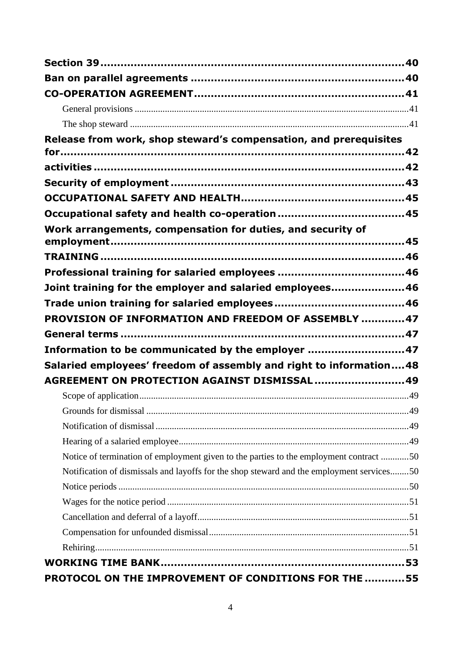| Release from work, shop steward's compensation, and prerequisites                         |  |
|-------------------------------------------------------------------------------------------|--|
|                                                                                           |  |
|                                                                                           |  |
|                                                                                           |  |
|                                                                                           |  |
|                                                                                           |  |
| Work arrangements, compensation for duties, and security of                               |  |
|                                                                                           |  |
|                                                                                           |  |
|                                                                                           |  |
| Joint training for the employer and salaried employees 46                                 |  |
|                                                                                           |  |
| PROVISION OF INFORMATION AND FREEDOM OF ASSEMBLY 47                                       |  |
|                                                                                           |  |
| Information to be communicated by the employer  47                                        |  |
| Salaried employees' freedom of assembly and right to information48                        |  |
| AGREEMENT ON PROTECTION AGAINST DISMISSAL  49                                             |  |
|                                                                                           |  |
|                                                                                           |  |
|                                                                                           |  |
|                                                                                           |  |
| Notice of termination of employment given to the parties to the employment contract 50    |  |
| Notification of dismissals and layoffs for the shop steward and the employment services50 |  |
|                                                                                           |  |
|                                                                                           |  |
|                                                                                           |  |
|                                                                                           |  |
|                                                                                           |  |
|                                                                                           |  |
| PROTOCOL ON THE IMPROVEMENT OF CONDITIONS FOR THE  55                                     |  |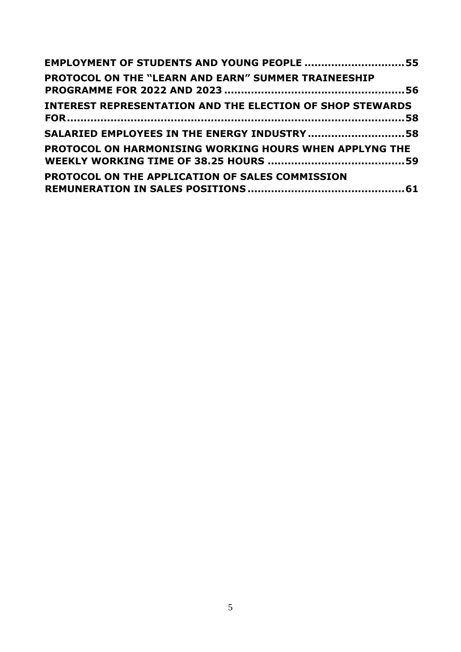| EMPLOYMENT OF STUDENTS AND YOUNG PEOPLE 55                       |  |
|------------------------------------------------------------------|--|
| PROTOCOL ON THE "LEARN AND EARN" SUMMER TRAINEESHIP              |  |
| <b>INTEREST REPRESENTATION AND THE ELECTION OF SHOP STEWARDS</b> |  |
| SALARIED EMPLOYEES IN THE ENERGY INDUSTRY  58                    |  |
| <b>PROTOCOL ON HARMONISING WORKING HOURS WHEN APPLYNG THE</b>    |  |
| <b>PROTOCOL ON THE APPLICATION OF SALES COMMISSION</b>           |  |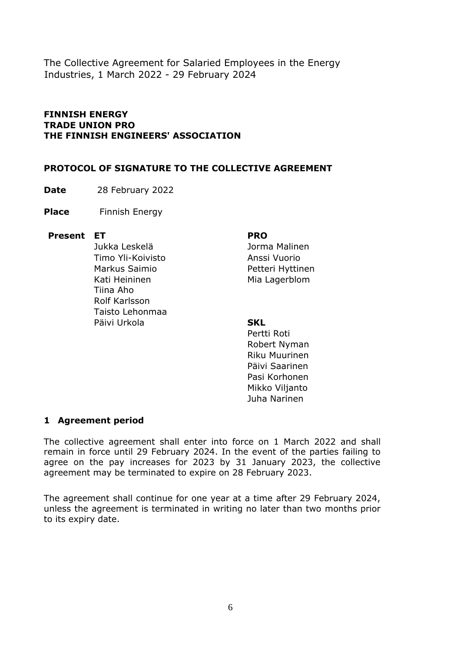The Collective Agreement for Salaried Employees in the Energy Industries, 1 March 2022 - 29 February 2024

#### **FINNISH ENERGY TRADE UNION PRO THE FINNISH ENGINEERS' ASSOCIATION**

#### <span id="page-5-0"></span>**PROTOCOL OF SIGNATURE TO THE COLLECTIVE AGREEMENT**

**Date** 28 February 2022

**Place** Finnish Energy

#### **Present ET PRO**

Jukka Leskelä Timo Yli-Koivisto Markus Saimio Kati Heininen Tiina Aho Rolf Karlsson Taisto Lehonmaa Päivi Urkola **SKL**

Jorma Malinen Anssi Vuorio Petteri Hyttinen Mia Lagerblom

Pertti Roti Robert Nyman Riku Muurinen Päivi Saarinen Pasi Korhonen Mikko Viljanto Juha Narinen

#### **1 Agreement period**

The collective agreement shall enter into force on 1 March 2022 and shall remain in force until 29 February 2024. In the event of the parties failing to agree on the pay increases for 2023 by 31 January 2023, the collective agreement may be terminated to expire on 28 February 2023.

The agreement shall continue for one year at a time after 29 February 2024, unless the agreement is terminated in writing no later than two months prior to its expiry date.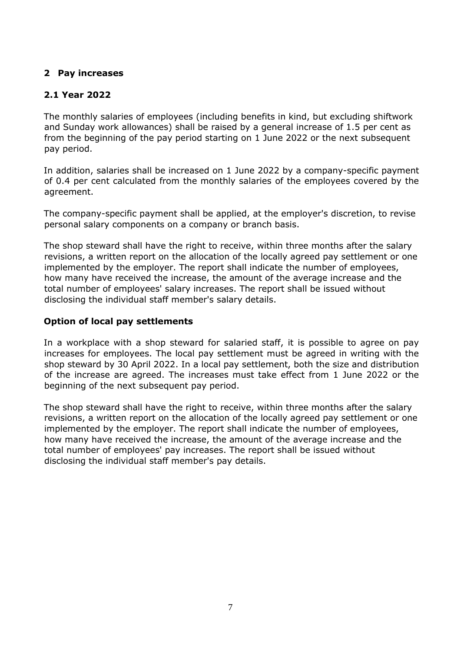# **2 Pay increases**

# **2.1 Year 2022**

The monthly salaries of employees (including benefits in kind, but excluding shiftwork and Sunday work allowances) shall be raised by a general increase of 1.5 per cent as from the beginning of the pay period starting on 1 June 2022 or the next subsequent pay period.

In addition, salaries shall be increased on 1 June 2022 by a company-specific payment of 0.4 per cent calculated from the monthly salaries of the employees covered by the agreement.

The company-specific payment shall be applied, at the employer's discretion, to revise personal salary components on a company or branch basis.

The shop steward shall have the right to receive, within three months after the salary revisions, a written report on the allocation of the locally agreed pay settlement or one implemented by the employer. The report shall indicate the number of employees, how many have received the increase, the amount of the average increase and the total number of employees' salary increases. The report shall be issued without disclosing the individual staff member's salary details.

#### **Option of local pay settlements**

In a workplace with a shop steward for salaried staff, it is possible to agree on pay increases for employees. The local pay settlement must be agreed in writing with the shop steward by 30 April 2022. In a local pay settlement, both the size and distribution of the increase are agreed. The increases must take effect from 1 June 2022 or the beginning of the next subsequent pay period.

The shop steward shall have the right to receive, within three months after the salary revisions, a written report on the allocation of the locally agreed pay settlement or one implemented by the employer. The report shall indicate the number of employees, how many have received the increase, the amount of the average increase and the total number of employees' pay increases. The report shall be issued without disclosing the individual staff member's pay details.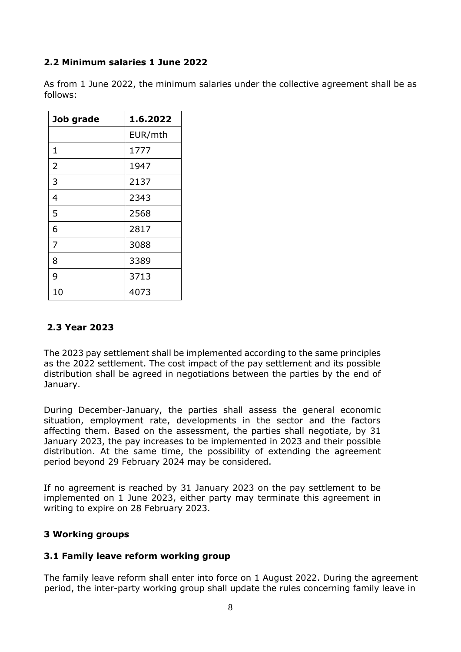# **2.2 Minimum salaries 1 June 2022**

As from 1 June 2022, the minimum salaries under the collective agreement shall be as follows:

| Job grade | 1.6.2022 |
|-----------|----------|
|           | EUR/mth  |
| 1         | 1777     |
| 2         | 1947     |
| 3         | 2137     |
| 4         | 2343     |
| 5         | 2568     |
| 6         | 2817     |
| 7         | 3088     |
| 8         | 3389     |
| 9         | 3713     |
| 10        | 4073     |

# **2.3 Year 2023**

The 2023 pay settlement shall be implemented according to the same principles as the 2022 settlement. The cost impact of the pay settlement and its possible distribution shall be agreed in negotiations between the parties by the end of January.

During December-January, the parties shall assess the general economic situation, employment rate, developments in the sector and the factors affecting them. Based on the assessment, the parties shall negotiate, by 31 January 2023, the pay increases to be implemented in 2023 and their possible distribution. At the same time, the possibility of extending the agreement period beyond 29 February 2024 may be considered.

If no agreement is reached by 31 January 2023 on the pay settlement to be implemented on 1 June 2023, either party may terminate this agreement in writing to expire on 28 February 2023.

# **3 Working groups**

# **3.1 Family leave reform working group**

The family leave reform shall enter into force on 1 August 2022. During the agreement period, the inter-party working group shall update the rules concerning family leave in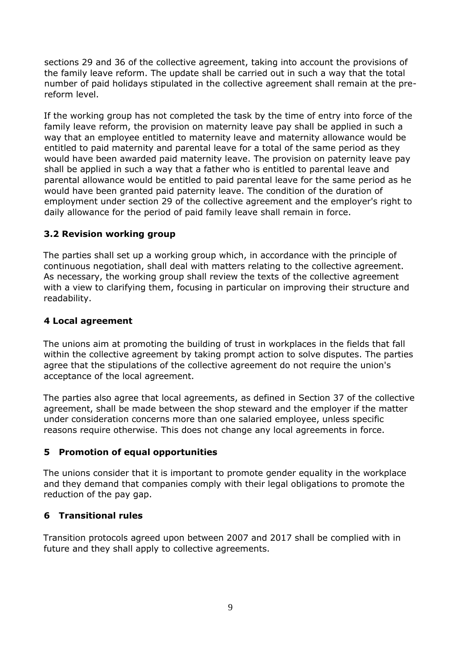sections 29 and 36 of the collective agreement, taking into account the provisions of the family leave reform. The update shall be carried out in such a way that the total number of paid holidays stipulated in the collective agreement shall remain at the prereform level.

If the working group has not completed the task by the time of entry into force of the family leave reform, the provision on maternity leave pay shall be applied in such a way that an employee entitled to maternity leave and maternity allowance would be entitled to paid maternity and parental leave for a total of the same period as they would have been awarded paid maternity leave. The provision on paternity leave pay shall be applied in such a way that a father who is entitled to parental leave and parental allowance would be entitled to paid parental leave for the same period as he would have been granted paid paternity leave. The condition of the duration of employment under section 29 of the collective agreement and the employer's right to daily allowance for the period of paid family leave shall remain in force.

#### **3.2 Revision working group**

The parties shall set up a working group which, in accordance with the principle of continuous negotiation, shall deal with matters relating to the collective agreement. As necessary, the working group shall review the texts of the collective agreement with a view to clarifying them, focusing in particular on improving their structure and readability.

#### **4 Local agreement**

The unions aim at promoting the building of trust in workplaces in the fields that fall within the collective agreement by taking prompt action to solve disputes. The parties agree that the stipulations of the collective agreement do not require the union's acceptance of the local agreement.

The parties also agree that local agreements, as defined in Section 37 of the collective agreement, shall be made between the shop steward and the employer if the matter under consideration concerns more than one salaried employee, unless specific reasons require otherwise. This does not change any local agreements in force.

#### **5 Promotion of equal opportunities**

The unions consider that it is important to promote gender equality in the workplace and they demand that companies comply with their legal obligations to promote the reduction of the pay gap.

# **6 Transitional rules**

Transition protocols agreed upon between 2007 and 2017 shall be complied with in future and they shall apply to collective agreements.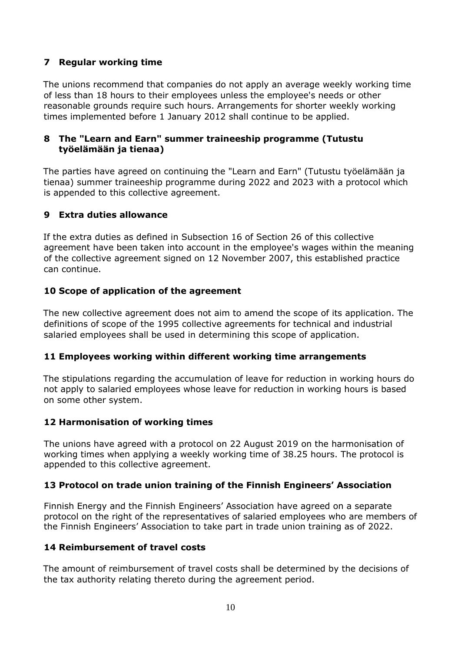## **7 Regular working time**

The unions recommend that companies do not apply an average weekly working time of less than 18 hours to their employees unless the employee's needs or other reasonable grounds require such hours. Arrangements for shorter weekly working times implemented before 1 January 2012 shall continue to be applied.

#### **8 The "Learn and Earn" summer traineeship programme (Tutustu työelämään ja tienaa)**

The parties have agreed on continuing the "Learn and Earn" (Tutustu työelämään ja tienaa) summer traineeship programme during 2022 and 2023 with a protocol which is appended to this collective agreement.

#### **9 Extra duties allowance**

If the extra duties as defined in Subsection 16 of Section 26 of this collective agreement have been taken into account in the employee's wages within the meaning of the collective agreement signed on 12 November 2007, this established practice can continue.

#### **10 Scope of application of the agreement**

The new collective agreement does not aim to amend the scope of its application. The definitions of scope of the 1995 collective agreements for technical and industrial salaried employees shall be used in determining this scope of application.

#### **11 Employees working within different working time arrangements**

The stipulations regarding the accumulation of leave for reduction in working hours do not apply to salaried employees whose leave for reduction in working hours is based on some other system.

#### **12 Harmonisation of working times**

The unions have agreed with a protocol on 22 August 2019 on the harmonisation of working times when applying a weekly working time of 38.25 hours. The protocol is appended to this collective agreement.

#### **13 Protocol on trade union training of the Finnish Engineers' Association**

Finnish Energy and the Finnish Engineers' Association have agreed on a separate protocol on the right of the representatives of salaried employees who are members of the Finnish Engineers' Association to take part in trade union training as of 2022.

#### **14 Reimbursement of travel costs**

The amount of reimbursement of travel costs shall be determined by the decisions of the tax authority relating thereto during the agreement period.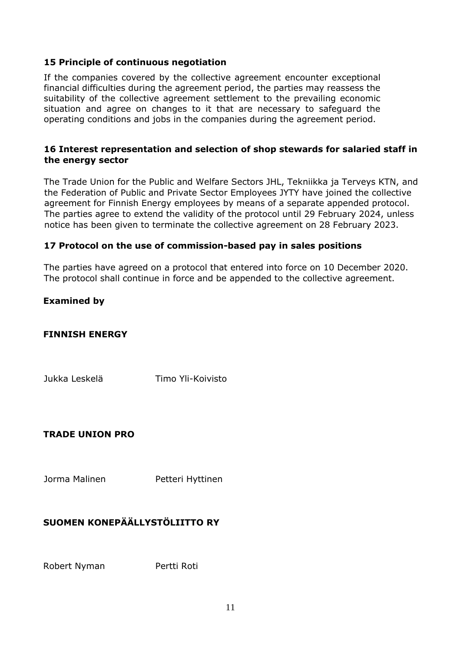#### **15 Principle of continuous negotiation**

If the companies covered by the collective agreement encounter exceptional financial difficulties during the agreement period, the parties may reassess the suitability of the collective agreement settlement to the prevailing economic situation and agree on changes to it that are necessary to safeguard the operating conditions and jobs in the companies during the agreement period.

#### **16 Interest representation and selection of shop stewards for salaried staff in the energy sector**

The Trade Union for the Public and Welfare Sectors JHL, Tekniikka ja Terveys KTN, and the Federation of Public and Private Sector Employees JYTY have joined the collective agreement for Finnish Energy employees by means of a separate appended protocol. The parties agree to extend the validity of the protocol until 29 February 2024, unless notice has been given to terminate the collective agreement on 28 February 2023.

#### **17 Protocol on the use of commission-based pay in sales positions**

The parties have agreed on a protocol that entered into force on 10 December 2020. The protocol shall continue in force and be appended to the collective agreement.

#### **Examined by**

#### **FINNISH ENERGY**

Jukka Leskelä Timo Yli-Koivisto

#### **TRADE UNION PRO**

Jorma Malinen **Petteri Hyttinen** 

# **SUOMEN KONEPÄÄLLYSTÖLIITTO RY**

Robert Nyman Pertti Roti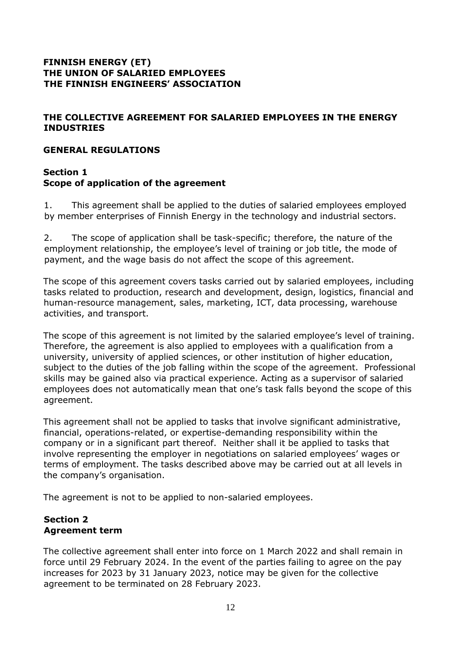## **FINNISH ENERGY (ET) THE UNION OF SALARIED EMPLOYEES THE FINNISH ENGINEERS' ASSOCIATION**

# <span id="page-11-0"></span>**THE COLLECTIVE AGREEMENT FOR SALARIED EMPLOYEES IN THE ENERGY INDUSTRIES**

#### <span id="page-11-1"></span>**GENERAL REGULATIONS**

## <span id="page-11-3"></span><span id="page-11-2"></span>**Section 1 Scope of application of the agreement**

1. This agreement shall be applied to the duties of salaried employees employed by member enterprises of Finnish Energy in the technology and industrial sectors.

2. The scope of application shall be task-specific; therefore, the nature of the employment relationship, the employee's level of training or job title, the mode of payment, and the wage basis do not affect the scope of this agreement.

The scope of this agreement covers tasks carried out by salaried employees, including tasks related to production, research and development, design, logistics, financial and human-resource management, sales, marketing, ICT, data processing, warehouse activities, and transport.

The scope of this agreement is not limited by the salaried employee's level of training. Therefore, the agreement is also applied to employees with a qualification from a university, university of applied sciences, or other institution of higher education, subject to the duties of the job falling within the scope of the agreement. Professional skills may be gained also via practical experience. Acting as a supervisor of salaried employees does not automatically mean that one's task falls beyond the scope of this agreement.

This agreement shall not be applied to tasks that involve significant administrative, financial, operations-related, or expertise-demanding responsibility within the company or in a significant part thereof. Neither shall it be applied to tasks that involve representing the employer in negotiations on salaried employees' wages or terms of employment. The tasks described above may be carried out at all levels in the company's organisation.

The agreement is not to be applied to non-salaried employees.

#### <span id="page-11-5"></span><span id="page-11-4"></span>**Section 2 Agreement term**

The collective agreement shall enter into force on 1 March 2022 and shall remain in force until 29 February 2024. In the event of the parties failing to agree on the pay increases for 2023 by 31 January 2023, notice may be given for the collective agreement to be terminated on 28 February 2023.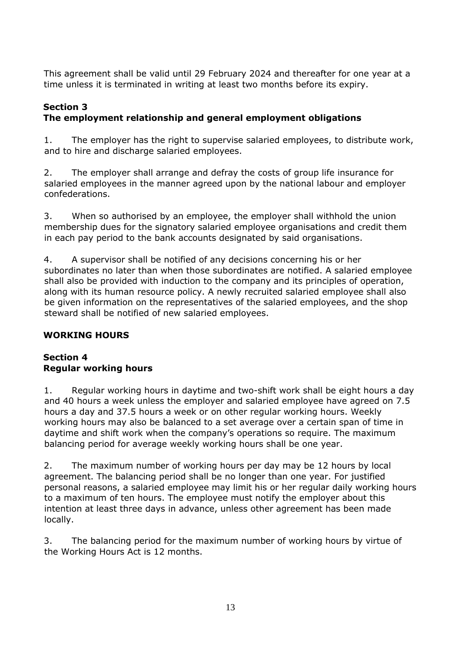This agreement shall be valid until 29 February 2024 and thereafter for one year at a time unless it is terminated in writing at least two months before its expiry.

# <span id="page-12-1"></span><span id="page-12-0"></span>**Section 3 The employment relationship and general employment obligations**

1. The employer has the right to supervise salaried employees, to distribute work, and to hire and discharge salaried employees.

2. The employer shall arrange and defray the costs of group life insurance for salaried employees in the manner agreed upon by the national labour and employer confederations.

3. When so authorised by an employee, the employer shall withhold the union membership dues for the signatory salaried employee organisations and credit them in each pay period to the bank accounts designated by said organisations.

4. A supervisor shall be notified of any decisions concerning his or her subordinates no later than when those subordinates are notified. A salaried employee shall also be provided with induction to the company and its principles of operation, along with its human resource policy. A newly recruited salaried employee shall also be given information on the representatives of the salaried employees, and the shop steward shall be notified of new salaried employees.

# <span id="page-12-2"></span>**WORKING HOURS**

# <span id="page-12-4"></span><span id="page-12-3"></span>**Section 4 Regular working hours**

1. Regular working hours in daytime and two-shift work shall be eight hours a day and 40 hours a week unless the employer and salaried employee have agreed on 7.5 hours a day and 37.5 hours a week or on other regular working hours. Weekly working hours may also be balanced to a set average over a certain span of time in daytime and shift work when the company's operations so require. The maximum balancing period for average weekly working hours shall be one year.

2. The maximum number of working hours per day may be 12 hours by local agreement. The balancing period shall be no longer than one year. For justified personal reasons, a salaried employee may limit his or her regular daily working hours to a maximum of ten hours. The employee must notify the employer about this intention at least three days in advance, unless other agreement has been made locally.

3. The balancing period for the maximum number of working hours by virtue of the Working Hours Act is 12 months.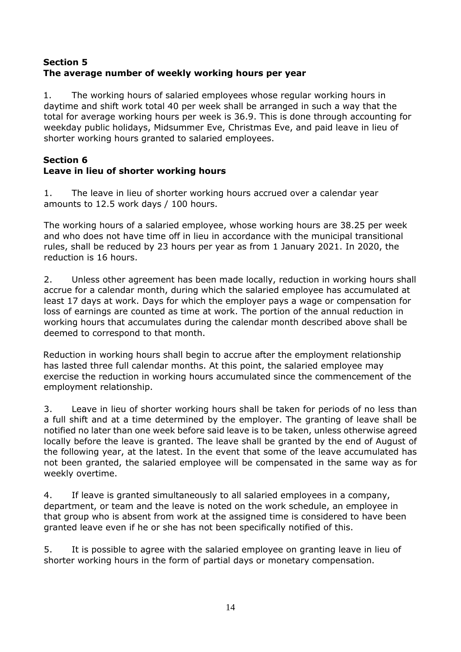# <span id="page-13-1"></span><span id="page-13-0"></span>**Section 5 The average number of weekly working hours per year**

1. The working hours of salaried employees whose regular working hours in daytime and shift work total 40 per week shall be arranged in such a way that the total for average working hours per week is 36.9. This is done through accounting for weekday public holidays, Midsummer Eve, Christmas Eve, and paid leave in lieu of shorter working hours granted to salaried employees.

## <span id="page-13-3"></span><span id="page-13-2"></span>**Section 6 Leave in lieu of shorter working hours**

1. The leave in lieu of shorter working hours accrued over a calendar year amounts to 12.5 work days / 100 hours.

The working hours of a salaried employee, whose working hours are 38.25 per week and who does not have time off in lieu in accordance with the municipal transitional rules, shall be reduced by 23 hours per year as from 1 January 2021. In 2020, the reduction is 16 hours.

2. Unless other agreement has been made locally, reduction in working hours shall accrue for a calendar month, during which the salaried employee has accumulated at least 17 days at work. Days for which the employer pays a wage or compensation for loss of earnings are counted as time at work. The portion of the annual reduction in working hours that accumulates during the calendar month described above shall be deemed to correspond to that month.

Reduction in working hours shall begin to accrue after the employment relationship has lasted three full calendar months. At this point, the salaried employee may exercise the reduction in working hours accumulated since the commencement of the employment relationship.

3. Leave in lieu of shorter working hours shall be taken for periods of no less than a full shift and at a time determined by the employer. The granting of leave shall be notified no later than one week before said leave is to be taken, unless otherwise agreed locally before the leave is granted. The leave shall be granted by the end of August of the following year, at the latest. In the event that some of the leave accumulated has not been granted, the salaried employee will be compensated in the same way as for weekly overtime.

4. If leave is granted simultaneously to all salaried employees in a company, department, or team and the leave is noted on the work schedule, an employee in that group who is absent from work at the assigned time is considered to have been granted leave even if he or she has not been specifically notified of this.

5. It is possible to agree with the salaried employee on granting leave in lieu of shorter working hours in the form of partial days or monetary compensation.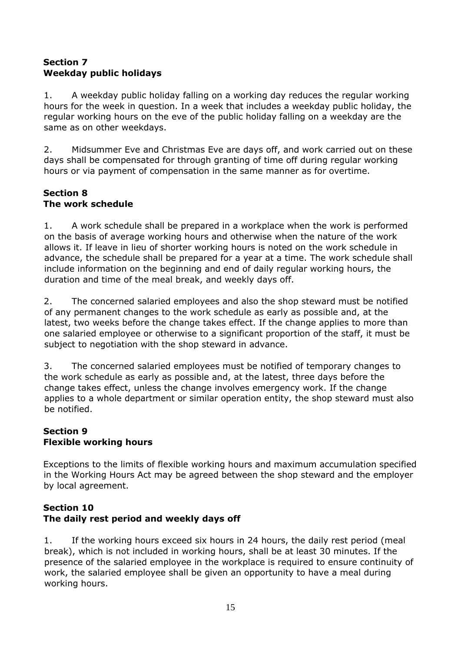# <span id="page-14-1"></span><span id="page-14-0"></span>**Section 7 Weekday public holidays**

1. A weekday public holiday falling on a working day reduces the regular working hours for the week in question. In a week that includes a weekday public holiday, the regular working hours on the eve of the public holiday falling on a weekday are the same as on other weekdays.

2. Midsummer Eve and Christmas Eve are days off, and work carried out on these days shall be compensated for through granting of time off during regular working hours or via payment of compensation in the same manner as for overtime.

#### <span id="page-14-3"></span><span id="page-14-2"></span>**Section 8 The work schedule**

1. A work schedule shall be prepared in a workplace when the work is performed on the basis of average working hours and otherwise when the nature of the work allows it. If leave in lieu of shorter working hours is noted on the work schedule in advance, the schedule shall be prepared for a year at a time. The work schedule shall include information on the beginning and end of daily regular working hours, the duration and time of the meal break, and weekly days off.

2. The concerned salaried employees and also the shop steward must be notified of any permanent changes to the work schedule as early as possible and, at the latest, two weeks before the change takes effect. If the change applies to more than one salaried employee or otherwise to a significant proportion of the staff, it must be subject to negotiation with the shop steward in advance.

3. The concerned salaried employees must be notified of temporary changes to the work schedule as early as possible and, at the latest, three days before the change takes effect, unless the change involves emergency work. If the change applies to a whole department or similar operation entity, the shop steward must also be notified.

#### <span id="page-14-5"></span><span id="page-14-4"></span>**Section 9 Flexible working hours**

Exceptions to the limits of flexible working hours and maximum accumulation specified in the Working Hours Act may be agreed between the shop steward and the employer by local agreement.

# <span id="page-14-7"></span><span id="page-14-6"></span>**Section 10 The daily rest period and weekly days off**

1. If the working hours exceed six hours in 24 hours, the daily rest period (meal break), which is not included in working hours, shall be at least 30 minutes. If the presence of the salaried employee in the workplace is required to ensure continuity of work, the salaried employee shall be given an opportunity to have a meal during working hours.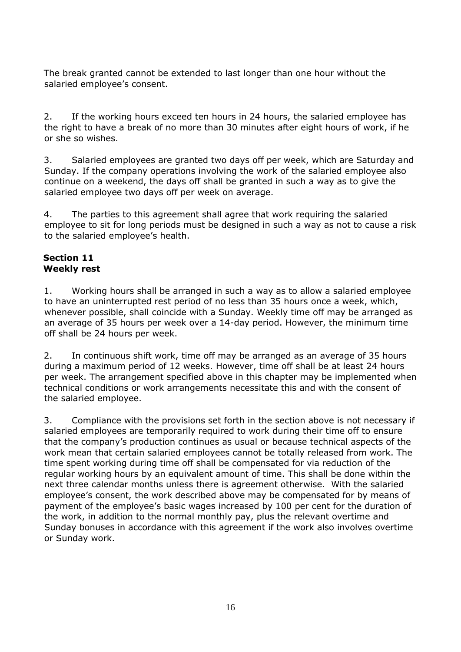The break granted cannot be extended to last longer than one hour without the salaried employee's consent.

2. If the working hours exceed ten hours in 24 hours, the salaried employee has the right to have a break of no more than 30 minutes after eight hours of work, if he or she so wishes.

3. Salaried employees are granted two days off per week, which are Saturday and Sunday. If the company operations involving the work of the salaried employee also continue on a weekend, the days off shall be granted in such a way as to give the salaried employee two days off per week on average.

4. The parties to this agreement shall agree that work requiring the salaried employee to sit for long periods must be designed in such a way as not to cause a risk to the salaried employee's health.

#### <span id="page-15-1"></span><span id="page-15-0"></span>**Section 11 Weekly rest**

1. Working hours shall be arranged in such a way as to allow a salaried employee to have an uninterrupted rest period of no less than 35 hours once a week, which, whenever possible, shall coincide with a Sunday. Weekly time off may be arranged as an average of 35 hours per week over a 14-day period. However, the minimum time off shall be 24 hours per week.

2. In continuous shift work, time off may be arranged as an average of 35 hours during a maximum period of 12 weeks. However, time off shall be at least 24 hours per week. The arrangement specified above in this chapter may be implemented when technical conditions or work arrangements necessitate this and with the consent of the salaried employee.

<span id="page-15-2"></span>3. Compliance with the provisions set forth in the section above is not necessary if salaried employees are temporarily required to work during their time off to ensure that the company's production continues as usual or because technical aspects of the work mean that certain salaried employees cannot be totally released from work. The time spent working during time off shall be compensated for via reduction of the regular working hours by an equivalent amount of time. This shall be done within the next three calendar months unless there is agreement otherwise. With the salaried employee's consent, the work described above may be compensated for by means of payment of the employee's basic wages increased by 100 per cent for the duration of the work, in addition to the normal monthly pay, plus the relevant overtime and Sunday bonuses in accordance with this agreement if the work also involves overtime or Sunday work.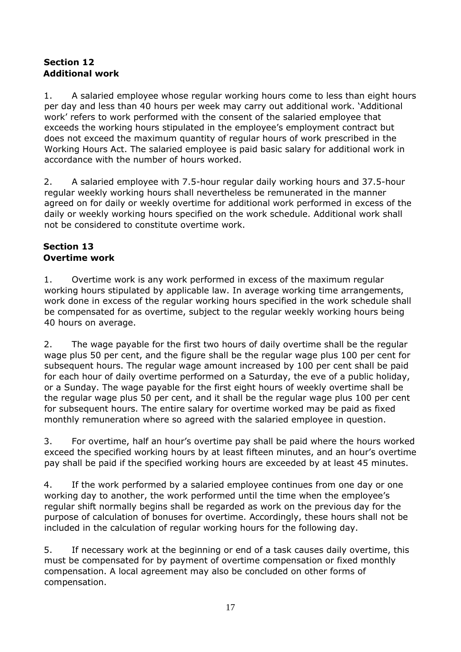# <span id="page-16-0"></span>**Section 12 Additional work**

1. A salaried employee whose regular working hours come to less than eight hours per day and less than 40 hours per week may carry out additional work. 'Additional work' refers to work performed with the consent of the salaried employee that exceeds the working hours stipulated in the employee's employment contract but does not exceed the maximum quantity of regular hours of work prescribed in the Working Hours Act. The salaried employee is paid basic salary for additional work in accordance with the number of hours worked.

2. A salaried employee with 7.5-hour regular daily working hours and 37.5-hour regular weekly working hours shall nevertheless be remunerated in the manner agreed on for daily or weekly overtime for additional work performed in excess of the daily or weekly working hours specified on the work schedule. Additional work shall not be considered to constitute overtime work.

# <span id="page-16-2"></span><span id="page-16-1"></span>**Section 13 Overtime work**

1. Overtime work is any work performed in excess of the maximum regular working hours stipulated by applicable law. In average working time arrangements, work done in excess of the regular working hours specified in the work schedule shall be compensated for as overtime, subject to the regular weekly working hours being 40 hours on average.

2. The wage payable for the first two hours of daily overtime shall be the regular wage plus 50 per cent, and the figure shall be the regular wage plus 100 per cent for subsequent hours. The regular wage amount increased by 100 per cent shall be paid for each hour of daily overtime performed on a Saturday, the eve of a public holiday, or a Sunday. The wage payable for the first eight hours of weekly overtime shall be the regular wage plus 50 per cent, and it shall be the regular wage plus 100 per cent for subsequent hours. The entire salary for overtime worked may be paid as fixed monthly remuneration where so agreed with the salaried employee in question.

3. For overtime, half an hour's overtime pay shall be paid where the hours worked exceed the specified working hours by at least fifteen minutes, and an hour's overtime pay shall be paid if the specified working hours are exceeded by at least 45 minutes.

4. If the work performed by a salaried employee continues from one day or one working day to another, the work performed until the time when the employee's regular shift normally begins shall be regarded as work on the previous day for the purpose of calculation of bonuses for overtime. Accordingly, these hours shall not be included in the calculation of regular working hours for the following day.

5. If necessary work at the beginning or end of a task causes daily overtime, this must be compensated for by payment of overtime compensation or fixed monthly compensation. A local agreement may also be concluded on other forms of compensation.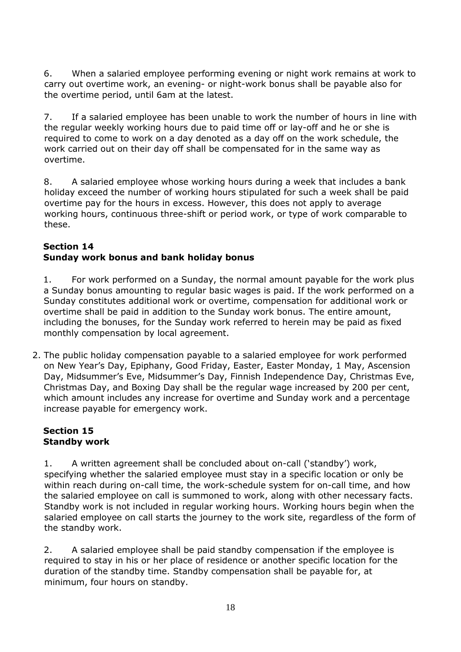6. When a salaried employee performing evening or night work remains at work to carry out overtime work, an evening- or night-work bonus shall be payable also for the overtime period, until 6am at the latest.

7. If a salaried employee has been unable to work the number of hours in line with the regular weekly working hours due to paid time off or lay-off and he or she is required to come to work on a day denoted as a day off on the work schedule, the work carried out on their day off shall be compensated for in the same way as overtime.

8. A salaried employee whose working hours during a week that includes a bank holiday exceed the number of working hours stipulated for such a week shall be paid overtime pay for the hours in excess. However, this does not apply to average working hours, continuous three-shift or period work, or type of work comparable to these.

#### <span id="page-17-1"></span><span id="page-17-0"></span>**Section 14 Sunday work bonus and bank holiday bonus**

1. For work performed on a Sunday, the normal amount payable for the work plus a Sunday bonus amounting to regular basic wages is paid. If the work performed on a Sunday constitutes additional work or overtime, compensation for additional work or overtime shall be paid in addition to the Sunday work bonus. The entire amount, including the bonuses, for the Sunday work referred to herein may be paid as fixed monthly compensation by local agreement.

2. The public holiday compensation payable to a salaried employee for work performed on New Year's Day, Epiphany, Good Friday, Easter, Easter Monday, 1 May, Ascension Day, Midsummer's Eve, Midsummer's Day, Finnish Independence Day, Christmas Eve, Christmas Day, and Boxing Day shall be the regular wage increased by 200 per cent, which amount includes any increase for overtime and Sunday work and a percentage increase payable for emergency work.

# <span id="page-17-3"></span><span id="page-17-2"></span>**Section 15 Standby work**

1. A written agreement shall be concluded about on-call ('standby') work, specifying whether the salaried employee must stay in a specific location or only be within reach during on-call time, the work-schedule system for on-call time, and how the salaried employee on call is summoned to work, along with other necessary facts. Standby work is not included in regular working hours. Working hours begin when the salaried employee on call starts the journey to the work site, regardless of the form of the standby work.

2. A salaried employee shall be paid standby compensation if the employee is required to stay in his or her place of residence or another specific location for the duration of the standby time. Standby compensation shall be payable for, at minimum, four hours on standby.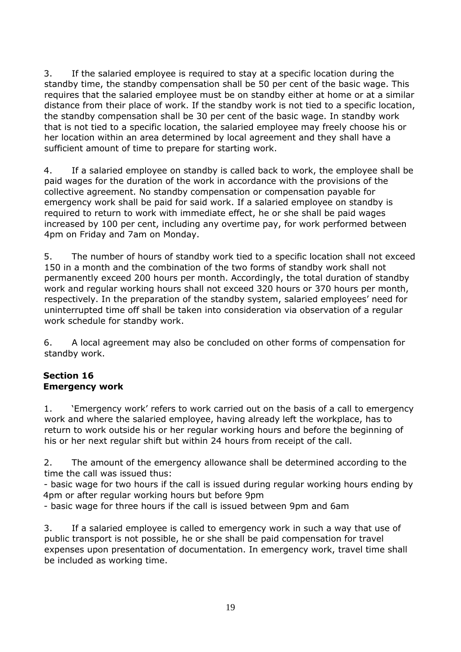3. If the salaried employee is required to stay at a specific location during the standby time, the standby compensation shall be 50 per cent of the basic wage. This requires that the salaried employee must be on standby either at home or at a similar distance from their place of work. If the standby work is not tied to a specific location, the standby compensation shall be 30 per cent of the basic wage. In standby work that is not tied to a specific location, the salaried employee may freely choose his or her location within an area determined by local agreement and they shall have a sufficient amount of time to prepare for starting work.

4. If a salaried employee on standby is called back to work, the employee shall be paid wages for the duration of the work in accordance with the provisions of the collective agreement. No standby compensation or compensation payable for emergency work shall be paid for said work. If a salaried employee on standby is required to return to work with immediate effect, he or she shall be paid wages increased by 100 per cent, including any overtime pay, for work performed between 4pm on Friday and 7am on Monday.

5. The number of hours of standby work tied to a specific location shall not exceed 150 in a month and the combination of the two forms of standby work shall not permanently exceed 200 hours per month. Accordingly, the total duration of standby work and regular working hours shall not exceed 320 hours or 370 hours per month, respectively. In the preparation of the standby system, salaried employees' need for uninterrupted time off shall be taken into consideration via observation of a regular work schedule for standby work.

6. A local agreement may also be concluded on other forms of compensation for standby work.

# <span id="page-18-1"></span><span id="page-18-0"></span>**Section 16 Emergency work**

1. 'Emergency work' refers to work carried out on the basis of a call to emergency work and where the salaried employee, having already left the workplace, has to return to work outside his or her regular working hours and before the beginning of his or her next regular shift but within 24 hours from receipt of the call.

2. The amount of the emergency allowance shall be determined according to the time the call was issued thus:

- basic wage for two hours if the call is issued during regular working hours ending by 4pm or after regular working hours but before 9pm

- basic wage for three hours if the call is issued between 9pm and 6am

3. If a salaried employee is called to emergency work in such a way that use of public transport is not possible, he or she shall be paid compensation for travel expenses upon presentation of documentation. In emergency work, travel time shall be included as working time.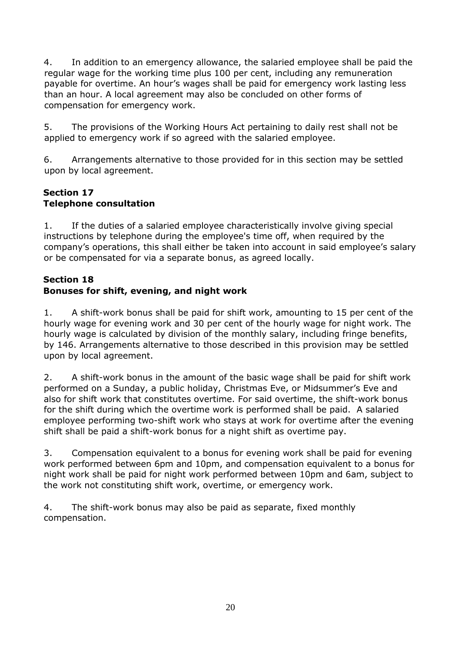4. In addition to an emergency allowance, the salaried employee shall be paid the regular wage for the working time plus 100 per cent, including any remuneration payable for overtime. An hour's wages shall be paid for emergency work lasting less than an hour. A local agreement may also be concluded on other forms of compensation for emergency work.

5. The provisions of the Working Hours Act pertaining to daily rest shall not be applied to emergency work if so agreed with the salaried employee.

6. Arrangements alternative to those provided for in this section may be settled upon by local agreement.

## <span id="page-19-1"></span><span id="page-19-0"></span>**Section 17 Telephone consultation**

1. If the duties of a salaried employee characteristically involve giving special instructions by telephone during the employee's time off, when required by the company's operations, this shall either be taken into account in said employee's salary or be compensated for via a separate bonus, as agreed locally.

# <span id="page-19-2"></span>**Section 18**

# <span id="page-19-3"></span>**Bonuses for shift, evening, and night work**

1. A shift-work bonus shall be paid for shift work, amounting to 15 per cent of the hourly wage for evening work and 30 per cent of the hourly wage for night work. The hourly wage is calculated by division of the monthly salary, including fringe benefits, by 146. Arrangements alternative to those described in this provision may be settled upon by local agreement.

2. A shift-work bonus in the amount of the basic wage shall be paid for shift work performed on a Sunday, a public holiday, Christmas Eve, or Midsummer's Eve and also for shift work that constitutes overtime. For said overtime, the shift-work bonus for the shift during which the overtime work is performed shall be paid. A salaried employee performing two-shift work who stays at work for overtime after the evening shift shall be paid a shift-work bonus for a night shift as overtime pay.

3. Compensation equivalent to a bonus for evening work shall be paid for evening work performed between 6pm and 10pm, and compensation equivalent to a bonus for night work shall be paid for night work performed between 10pm and 6am, subject to the work not constituting shift work, overtime, or emergency work.

4. The shift-work bonus may also be paid as separate, fixed monthly compensation.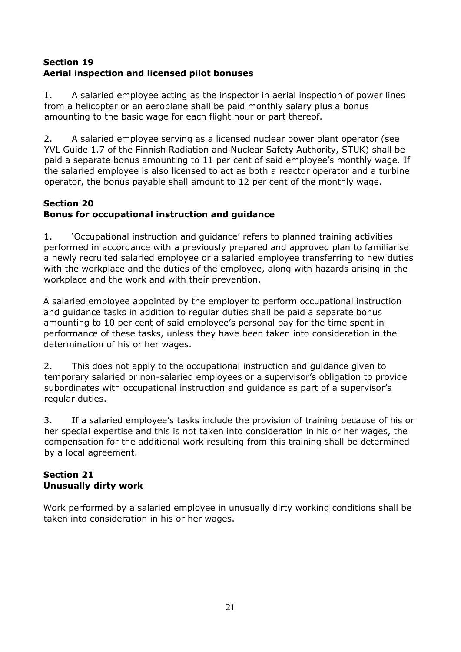# <span id="page-20-1"></span><span id="page-20-0"></span>**Section 19 Aerial inspection and licensed pilot bonuses**

1. A salaried employee acting as the inspector in aerial inspection of power lines from a helicopter or an aeroplane shall be paid monthly salary plus a bonus amounting to the basic wage for each flight hour or part thereof.

2. A salaried employee serving as a licensed nuclear power plant operator (see YVL Guide 1.7 of the Finnish Radiation and Nuclear Safety Authority, STUK) shall be paid a separate bonus amounting to 11 per cent of said employee's monthly wage. If the salaried employee is also licensed to act as both a reactor operator and a turbine operator, the bonus payable shall amount to 12 per cent of the monthly wage.

# <span id="page-20-2"></span>**Section 20**

# <span id="page-20-3"></span>**Bonus for occupational instruction and guidance**

1. 'Occupational instruction and guidance' refers to planned training activities performed in accordance with a previously prepared and approved plan to familiarise a newly recruited salaried employee or a salaried employee transferring to new duties with the workplace and the duties of the employee, along with hazards arising in the workplace and the work and with their prevention.

A salaried employee appointed by the employer to perform occupational instruction and guidance tasks in addition to regular duties shall be paid a separate bonus amounting to 10 per cent of said employee's personal pay for the time spent in performance of these tasks, unless they have been taken into consideration in the determination of his or her wages.

2. This does not apply to the occupational instruction and guidance given to temporary salaried or non-salaried employees or a supervisor's obligation to provide subordinates with occupational instruction and guidance as part of a supervisor's regular duties.

3. If a salaried employee's tasks include the provision of training because of his or her special expertise and this is not taken into consideration in his or her wages, the compensation for the additional work resulting from this training shall be determined by a local agreement.

# <span id="page-20-5"></span><span id="page-20-4"></span>**Section 21 Unusually dirty work**

Work performed by a salaried employee in unusually dirty working conditions shall be taken into consideration in his or her wages.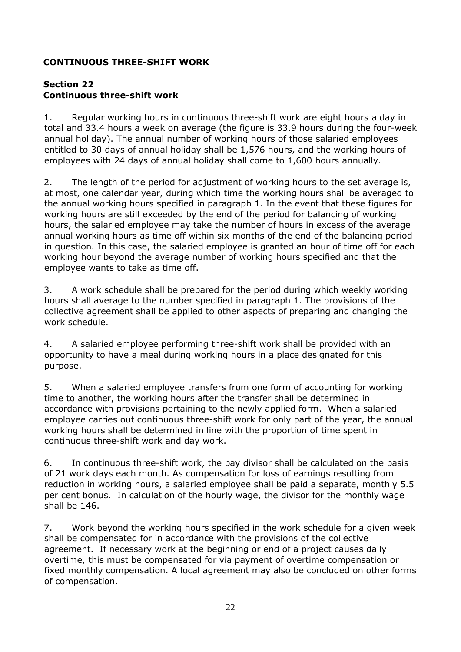## <span id="page-21-0"></span>**CONTINUOUS THREE-SHIFT WORK**

#### <span id="page-21-2"></span><span id="page-21-1"></span>**Section 22 Continuous three-shift work**

1. Regular working hours in continuous three-shift work are eight hours a day in total and 33.4 hours a week on average (the figure is 33.9 hours during the four-week annual holiday). The annual number of working hours of those salaried employees entitled to 30 days of annual holiday shall be 1,576 hours, and the working hours of employees with 24 days of annual holiday shall come to 1,600 hours annually.

2. The length of the period for adjustment of working hours to the set average is, at most, one calendar year, during which time the working hours shall be averaged to the annual working hours specified in paragraph 1. In the event that these figures for working hours are still exceeded by the end of the period for balancing of working hours, the salaried employee may take the number of hours in excess of the average annual working hours as time off within six months of the end of the balancing period in question. In this case, the salaried employee is granted an hour of time off for each working hour beyond the average number of working hours specified and that the employee wants to take as time off.

3. A work schedule shall be prepared for the period during which weekly working hours shall average to the number specified in paragraph 1. The provisions of the collective agreement shall be applied to other aspects of preparing and changing the work schedule.

4. A salaried employee performing three-shift work shall be provided with an opportunity to have a meal during working hours in a place designated for this purpose.

5. When a salaried employee transfers from one form of accounting for working time to another, the working hours after the transfer shall be determined in accordance with provisions pertaining to the newly applied form. When a salaried employee carries out continuous three-shift work for only part of the year, the annual working hours shall be determined in line with the proportion of time spent in continuous three-shift work and day work.

6. In continuous three-shift work, the pay divisor shall be calculated on the basis of 21 work days each month. As compensation for loss of earnings resulting from reduction in working hours, a salaried employee shall be paid a separate, monthly 5.5 per cent bonus. In calculation of the hourly wage, the divisor for the monthly wage shall be 146.

7. Work beyond the working hours specified in the work schedule for a given week shall be compensated for in accordance with the provisions of the collective agreement. If necessary work at the beginning or end of a project causes daily overtime, this must be compensated for via payment of overtime compensation or fixed monthly compensation. A local agreement may also be concluded on other forms of compensation.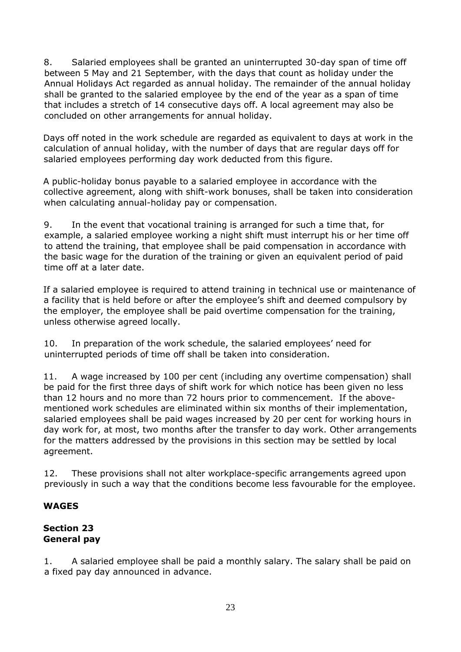8. Salaried employees shall be granted an uninterrupted 30-day span of time off between 5 May and 21 September, with the days that count as holiday under the Annual Holidays Act regarded as annual holiday. The remainder of the annual holiday shall be granted to the salaried employee by the end of the year as a span of time that includes a stretch of 14 consecutive days off. A local agreement may also be concluded on other arrangements for annual holiday.

Days off noted in the work schedule are regarded as equivalent to days at work in the calculation of annual holiday, with the number of days that are regular days off for salaried employees performing day work deducted from this figure.

A public-holiday bonus payable to a salaried employee in accordance with the collective agreement, along with shift-work bonuses, shall be taken into consideration when calculating annual-holiday pay or compensation.

9. In the event that vocational training is arranged for such a time that, for example, a salaried employee working a night shift must interrupt his or her time off to attend the training, that employee shall be paid compensation in accordance with the basic wage for the duration of the training or given an equivalent period of paid time off at a later date.

If a salaried employee is required to attend training in technical use or maintenance of a facility that is held before or after the employee's shift and deemed compulsory by the employer, the employee shall be paid overtime compensation for the training, unless otherwise agreed locally.

10. In preparation of the work schedule, the salaried employees' need for uninterrupted periods of time off shall be taken into consideration.

11. A wage increased by 100 per cent (including any overtime compensation) shall be paid for the first three days of shift work for which notice has been given no less than 12 hours and no more than 72 hours prior to commencement. If the abovementioned work schedules are eliminated within six months of their implementation, salaried employees shall be paid wages increased by 20 per cent for working hours in day work for, at most, two months after the transfer to day work. Other arrangements for the matters addressed by the provisions in this section may be settled by local agreement.

12. These provisions shall not alter workplace-specific arrangements agreed upon previously in such a way that the conditions become less favourable for the employee.

# **WAGES**

#### <span id="page-22-1"></span><span id="page-22-0"></span>**Section 23 General pay**

1. A salaried employee shall be paid a monthly salary. The salary shall be paid on a fixed pay day announced in advance.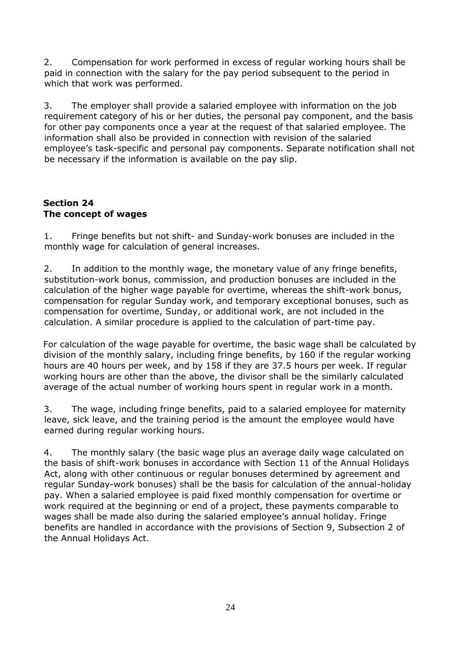2. Compensation for work performed in excess of regular working hours shall be paid in connection with the salary for the pay period subsequent to the period in which that work was performed.

3. The employer shall provide a salaried employee with information on the job requirement category of his or her duties, the personal pay component, and the basis for other pay components once a year at the request of that salaried employee. The information shall also be provided in connection with revision of the salaried employee's task-specific and personal pay components. Separate notification shall not be necessary if the information is available on the pay slip.

# <span id="page-23-1"></span><span id="page-23-0"></span>**Section 24 The concept of wages**

1. Fringe benefits but not shift- and Sunday-work bonuses are included in the monthly wage for calculation of general increases.

2. In addition to the monthly wage, the monetary value of any fringe benefits, substitution-work bonus, commission, and production bonuses are included in the calculation of the higher wage payable for overtime, whereas the shift-work bonus, compensation for regular Sunday work, and temporary exceptional bonuses, such as compensation for overtime, Sunday, or additional work, are not included in the calculation. A similar procedure is applied to the calculation of part-time pay.

For calculation of the wage payable for overtime, the basic wage shall be calculated by division of the monthly salary, including fringe benefits, by 160 if the regular working hours are 40 hours per week, and by 158 if they are 37.5 hours per week. If regular working hours are other than the above, the divisor shall be the similarly calculated average of the actual number of working hours spent in regular work in a month.

3. The wage, including fringe benefits, paid to a salaried employee for maternity leave, sick leave, and the training period is the amount the employee would have earned during regular working hours.

4. The monthly salary (the basic wage plus an average daily wage calculated on the basis of shift-work bonuses in accordance with Section 11 of the Annual Holidays Act, along with other continuous or regular bonuses determined by agreement and regular Sunday-work bonuses) shall be the basis for calculation of the annual-holiday pay. When a salaried employee is paid fixed monthly compensation for overtime or work required at the beginning or end of a project, these payments comparable to wages shall be made also during the salaried employee's annual holiday. Fringe benefits are handled in accordance with the provisions of Section 9, Subsection 2 of the Annual Holidays Act.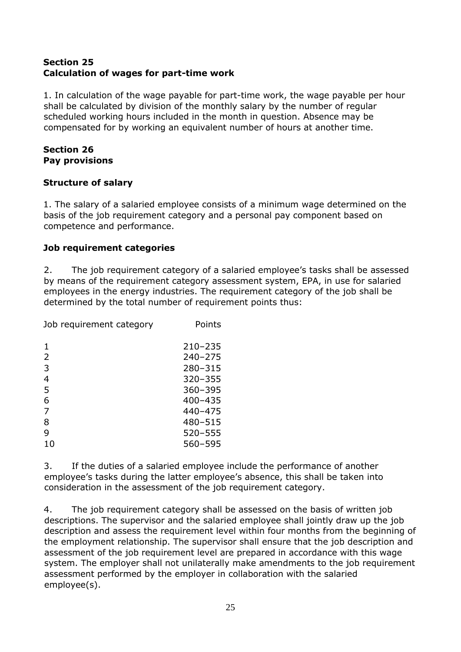## <span id="page-24-1"></span><span id="page-24-0"></span>**Section 25 Calculation of wages for part-time work**

1. In calculation of the wage payable for part-time work, the wage payable per hour shall be calculated by division of the monthly salary by the number of regular scheduled working hours included in the month in question. Absence may be compensated for by working an equivalent number of hours at another time.

# <span id="page-24-3"></span><span id="page-24-2"></span>**Section 26 Pay provisions**

# <span id="page-24-4"></span>**Structure of salary**

1. The salary of a salaried employee consists of a minimum wage determined on the basis of the job requirement category and a personal pay component based on competence and performance.

# <span id="page-24-5"></span>**Job requirement categories**

2. The job requirement category of a salaried employee's tasks shall be assessed by means of the requirement category assessment system, EPA, in use for salaried employees in the energy industries. The requirement category of the job shall be determined by the total number of requirement points thus:

Job requirement category Points

| 1  | $210 - 235$ |
|----|-------------|
| 2  | $240 - 275$ |
| 3  | 280-315     |
| 4  | 320-355     |
| 5  | $360 - 395$ |
| 6  | 400-435     |
| 7  | 440-475     |
| 8  | 480-515     |
| 9  | 520-555     |
| 10 | 560-595     |

3. If the duties of a salaried employee include the performance of another employee's tasks during the latter employee's absence, this shall be taken into consideration in the assessment of the job requirement category.

4. The job requirement category shall be assessed on the basis of written job descriptions. The supervisor and the salaried employee shall jointly draw up the job description and assess the requirement level within four months from the beginning of the employment relationship. The supervisor shall ensure that the job description and assessment of the job requirement level are prepared in accordance with this wage system. The employer shall not unilaterally make amendments to the job requirement assessment performed by the employer in collaboration with the salaried employee(s).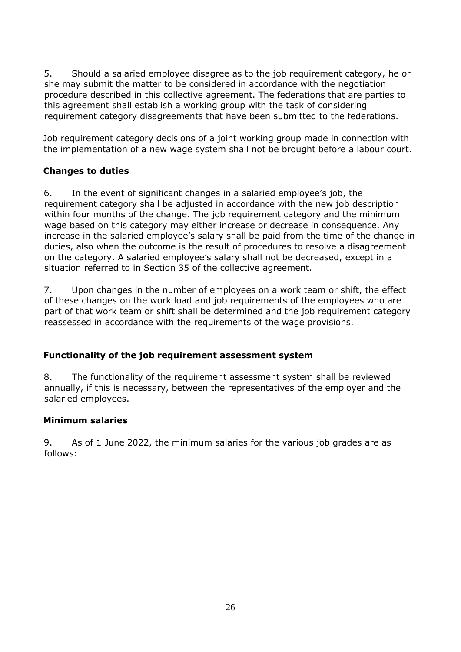5. Should a salaried employee disagree as to the job requirement category, he or she may submit the matter to be considered in accordance with the negotiation procedure described in this collective agreement. The federations that are parties to this agreement shall establish a working group with the task of considering requirement category disagreements that have been submitted to the federations.

Job requirement category decisions of a joint working group made in connection with the implementation of a new wage system shall not be brought before a labour court.

# <span id="page-25-0"></span>**Changes to duties**

6. In the event of significant changes in a salaried employee's job, the requirement category shall be adjusted in accordance with the new job description within four months of the change. The job requirement category and the minimum wage based on this category may either increase or decrease in consequence. Any increase in the salaried employee's salary shall be paid from the time of the change in duties, also when the outcome is the result of procedures to resolve a disagreement on the category. A salaried employee's salary shall not be decreased, except in a situation referred to in Section 35 of the collective agreement.

7. Upon changes in the number of employees on a work team or shift, the effect of these changes on the work load and job requirements of the employees who are part of that work team or shift shall be determined and the job requirement category reassessed in accordance with the requirements of the wage provisions.

# <span id="page-25-1"></span>**Functionality of the job requirement assessment system**

8. The functionality of the requirement assessment system shall be reviewed annually, if this is necessary, between the representatives of the employer and the salaried employees.

#### <span id="page-25-2"></span>**Minimum salaries**

9. As of 1 June 2022, the minimum salaries for the various job grades are as follows: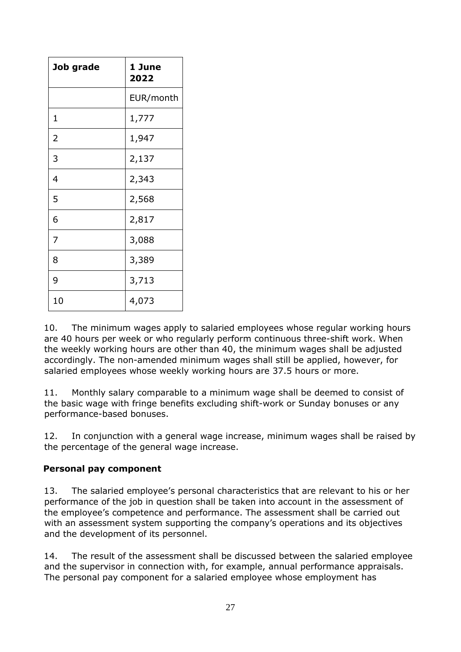| Job grade      | 1 June<br>2022 |
|----------------|----------------|
|                | EUR/month      |
| 1              | 1,777          |
| 2              | 1,947          |
| 3              | 2,137          |
| $\overline{4}$ | 2,343          |
| 5              | 2,568          |
| 6              | 2,817          |
| 7              | 3,088          |
| 8              | 3,389          |
| 9              | 3,713          |
| 10             | 4,073          |

10. The minimum wages apply to salaried employees whose regular working hours are 40 hours per week or who regularly perform continuous three-shift work. When the weekly working hours are other than 40, the minimum wages shall be adjusted accordingly. The non-amended minimum wages shall still be applied, however, for salaried employees whose weekly working hours are 37.5 hours or more.

11. Monthly salary comparable to a minimum wage shall be deemed to consist of the basic wage with fringe benefits excluding shift-work or Sunday bonuses or any performance-based bonuses.

12. In conjunction with a general wage increase, minimum wages shall be raised by the percentage of the general wage increase.

# <span id="page-26-0"></span>**Personal pay component**

13. The salaried employee's personal characteristics that are relevant to his or her performance of the job in question shall be taken into account in the assessment of the employee's competence and performance. The assessment shall be carried out with an assessment system supporting the company's operations and its objectives and the development of its personnel.

14. The result of the assessment shall be discussed between the salaried employee and the supervisor in connection with, for example, annual performance appraisals. The personal pay component for a salaried employee whose employment has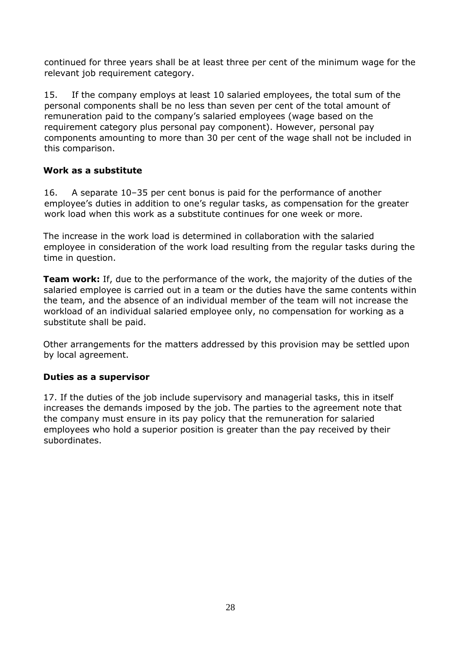continued for three years shall be at least three per cent of the minimum wage for the relevant job requirement category.

15. If the company employs at least 10 salaried employees, the total sum of the personal components shall be no less than seven per cent of the total amount of remuneration paid to the company's salaried employees (wage based on the requirement category plus personal pay component). However, personal pay components amounting to more than 30 per cent of the wage shall not be included in this comparison.

#### <span id="page-27-0"></span>**Work as a substitute**

16. A separate 10–35 per cent bonus is paid for the performance of another employee's duties in addition to one's regular tasks, as compensation for the greater work load when this work as a substitute continues for one week or more.

The increase in the work load is determined in collaboration with the salaried employee in consideration of the work load resulting from the regular tasks during the time in question.

**Team work:** If, due to the performance of the work, the majority of the duties of the salaried employee is carried out in a team or the duties have the same contents within the team, and the absence of an individual member of the team will not increase the workload of an individual salaried employee only, no compensation for working as a substitute shall be paid.

Other arrangements for the matters addressed by this provision may be settled upon by local agreement.

# <span id="page-27-1"></span>**Duties as a supervisor**

17. If the duties of the job include supervisory and managerial tasks, this in itself increases the demands imposed by the job. The parties to the agreement note that the company must ensure in its pay policy that the remuneration for salaried employees who hold a superior position is greater than the pay received by their subordinates.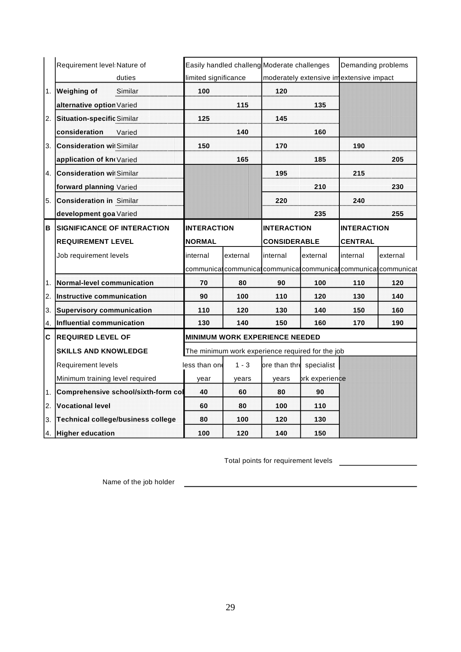|    | Requirement level Nature of<br>duties     | limited significance                                                                      |          | Easily handled challeng Moderate challenges                       | moderately extensive imextensive impact | Demanding problems |          |
|----|-------------------------------------------|-------------------------------------------------------------------------------------------|----------|-------------------------------------------------------------------|-----------------------------------------|--------------------|----------|
| 1. | <b>Weighing of</b><br>Similar             | 100                                                                                       |          | 120                                                               |                                         |                    |          |
|    | alternative option Varied                 |                                                                                           | 115      |                                                                   | 135                                     |                    |          |
| 2. | <b>Situation-specific Similar</b>         | 125                                                                                       |          | 145                                                               |                                         |                    |          |
|    | consideration<br>Varied                   |                                                                                           | 140      |                                                                   | 160                                     |                    |          |
| 3. | <b>Consideration wil Similar</b>          | 150                                                                                       |          | 170                                                               |                                         | 190                |          |
|    | application of knoVaried                  |                                                                                           | 165      |                                                                   | 185                                     |                    | 205      |
| 4. | <b>Consideration wi</b> Similar           |                                                                                           |          | 195                                                               |                                         | 215                |          |
|    | forward planning Varied                   |                                                                                           |          |                                                                   | 210                                     |                    | 230      |
| 5. | <b>Consideration in Similar</b>           |                                                                                           |          | 220                                                               |                                         | 240                |          |
|    | development goa Varied                    |                                                                                           |          |                                                                   | 235                                     |                    | 255      |
| в  | <b>SIGNIFICANCE OF INTERACTION</b>        | <b>INTERACTION</b>                                                                        |          | <b>INTERACTION</b>                                                |                                         | <b>INTERACTION</b> |          |
|    | <b>REQUIREMENT LEVEL</b>                  | <b>NORMAL</b>                                                                             |          | <b>CONSIDERABLE</b>                                               |                                         | <b>CENTRAL</b>     |          |
|    | Job requirement levels                    | internal                                                                                  | external | internal                                                          | external                                | internal           | external |
|    |                                           |                                                                                           |          | communical communical communical communical communical communicat |                                         |                    |          |
| 1. | <b>Normal-level communication</b>         | 70                                                                                        | 80       | 90                                                                | 100                                     | 110                | 120      |
| 2. | Instructive communication                 | 90                                                                                        | 100      | 110                                                               | 120                                     | 130                | 140      |
| 3. | <b>Supervisory communication</b>          | 110                                                                                       | 120      | 130                                                               | 140                                     | 150                | 160      |
| 4. | Influential communication                 | 130                                                                                       | 140      | 150                                                               | 160                                     | 170                | 190      |
| C  | <b>IREQUIRED LEVEL OF</b>                 | <b>MINIMUM WORK EXPERIENCE NEEDED</b><br>The minimum work experience required for the job |          |                                                                   |                                         |                    |          |
|    | <b>SKILLS AND KNOWLEDGE</b>               |                                                                                           |          |                                                                   |                                         |                    |          |
|    | <b>Requirement levels</b>                 | less than one                                                                             | $1 - 3$  | ore than thre specialist                                          |                                         |                    |          |
|    | Minimum training level required           | year                                                                                      | years    | years                                                             | ork experience                          |                    |          |
| 1. | Comprehensive school/sixth-form col       | 40                                                                                        | 60       | 80                                                                | 90                                      |                    |          |
| 2. | <b>Vocational level</b>                   | 60                                                                                        | 80       | 100                                                               | 110                                     |                    |          |
| 3. | <b>Technical college/business college</b> | 80                                                                                        | 100      | 120                                                               | 130                                     |                    |          |
|    | <b>Higher education</b>                   | 100                                                                                       | 120      | 140                                                               | 150                                     |                    |          |

Total points for requirement levels

Name of the job holder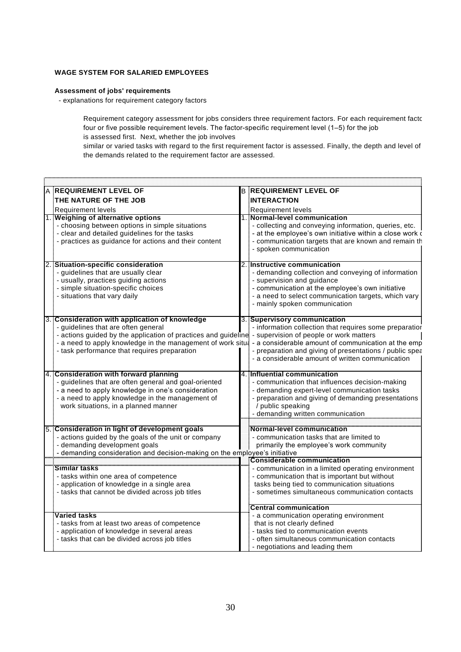#### **WAGE SYSTEM FOR SALARIED EMPLOYEES**

#### **Assessment of jobs' requirements**

- explanations for requirement category factors

Requirement category assessment for jobs considers three requirement factors. For each requirement factor, four or five possible requirement levels. The factor-specific requirement level (1–5) for the job is assessed first. Next, whether the job involves

similar or varied tasks with regard to the first requirement factor is assessed. Finally, the depth and level of the demands related to the requirement factor are assessed.

| A REQUIREMENT LEVEL OF                                                                                                                                                                              | <b>B REQUIREMENT LEVEL OF</b>                                                                                                                                                                                                                                                         |
|-----------------------------------------------------------------------------------------------------------------------------------------------------------------------------------------------------|---------------------------------------------------------------------------------------------------------------------------------------------------------------------------------------------------------------------------------------------------------------------------------------|
| THE NATURE OF THE JOB                                                                                                                                                                               | <b>INTERACTION</b>                                                                                                                                                                                                                                                                    |
| Requirement levels                                                                                                                                                                                  | Requirement levels                                                                                                                                                                                                                                                                    |
| 1. Weighing of alternative options                                                                                                                                                                  | 1. Normal-level communication                                                                                                                                                                                                                                                         |
| - choosing between options in simple situations<br>- clear and detailed guidelines for the tasks<br>practices as guidance for actions and their content                                             | collecting and conveying information, queries, etc.<br>- at the employee's own initiative within a close work o<br>- communication targets that are known and remain th<br>- spoken communication                                                                                     |
| 2. Situation-specific consideration<br>guidelines that are usually clear<br>- usually, practices guiding actions<br>- simple situation-specific choices<br>- situations that vary daily             | 2. Instructive communication<br>- demanding collection and conveying of information<br>- supervision and guidance<br>- communication at the employee's own initiative<br>- a need to select communication targets, which vary<br>- mainly spoken communication                        |
| 3. Consideration with application of knowledge                                                                                                                                                      | 3. Supervisory communication                                                                                                                                                                                                                                                          |
| guidelines that are often general<br>actions guided by the application of practices and guideline: - supervision of people or work matters<br>- task performance that requires preparation          | - information collection that requires some preparatior<br>a need to apply knowledge in the management of work situa - a considerable amount of communication at the emp<br>preparation and giving of presentations / public spea<br>a considerable amount of written communication - |
| 4. Consideration with forward planning                                                                                                                                                              | 4. Influential communication                                                                                                                                                                                                                                                          |
| guidelines that are often general and goal-oriented<br>- a need to apply knowledge in one's consideration<br>a need to apply knowledge in the management of<br>work situations, in a planned manner | - communication that influences decision-making<br>- demanding expert-level communication tasks<br>preparation and giving of demanding presentations<br>/ public speaking<br>- demanding written communication                                                                        |
| 5. Consideration in light of development goals                                                                                                                                                      | Normal-level communication                                                                                                                                                                                                                                                            |
| - actions guided by the goals of the unit or company<br>- demanding development goals<br>demanding consideration and decision-making on the employee's initiative                                   | - communication tasks that are limited to<br>primarily the employee's work community                                                                                                                                                                                                  |
|                                                                                                                                                                                                     | Considerable communication                                                                                                                                                                                                                                                            |
| Similar tasks<br>- tasks within one area of competence<br>- application of knowledge in a single area<br>- tasks that cannot be divided across job titles                                           | communication in a limited operating environment<br>communication that is important but without<br>tasks being tied to communication situations<br>- sometimes simultaneous communication contacts                                                                                    |
|                                                                                                                                                                                                     | <b>Central communication</b>                                                                                                                                                                                                                                                          |
| <b>Varied tasks</b><br>tasks from at least two areas of competence<br>application of knowledge in several areas<br>- tasks that can be divided across job titles                                    | - a communication operating environment<br>that is not clearly defined<br>- tasks tied to communication events<br>- often simultaneous communication contacts<br>- negotiations and leading them                                                                                      |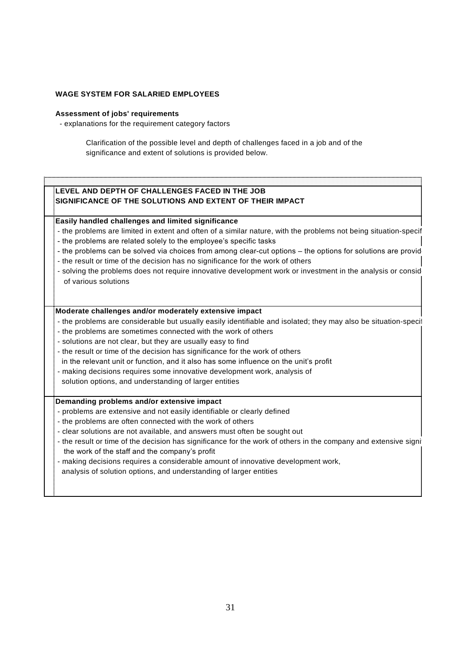#### **WAGE SYSTEM FOR SALARIED EMPLOYEES**

#### **Assessment of jobs' requirements**

- explanations for the requirement category factors

Clarification of the possible level and depth of challenges faced in a job and of the significance and extent of solutions is provided below.

#### **LEVEL AND DEPTH OF CHALLENGES FACED IN THE JOB SIGNIFICANCE OF THE SOLUTIONS AND EXTENT OF THEIR IMPACT**

**Easily handled challenges and limited significance**

- the problems are limited in extent and often of a similar nature, with the problems not being situation-specific
- the problems are related solely to the employee's specific tasks
- the problems can be solved via choices from among clear-cut options the options for solutions are provid
- the result or time of the decision has no significance for the work of others
- solving the problems does not require innovative development work or investment in the analysis or consideration of various solutions

#### **Moderate challenges and/or moderately extensive impact**

- the problems are considerable but usually easily identifiable and isolated; they may also be situation-specific
- the problems are sometimes connected with the work of others
- solutions are not clear, but they are usually easy to find
- the result or time of the decision has significance for the work of others
- in the relevant unit or function, and it also has some influence on the unit's profit
- making decisions requires some innovative development work, analysis of
- solution options, and understanding of larger entities

#### **Demanding problems and/or extensive impact**

- problems are extensive and not easily identifiable or clearly defined
- the problems are often connected with the work of others
- clear solutions are not available, and answers must often be sought out
- the result or time of the decision has significance for the work of others in the company and extensive signi the work of the staff and the company's profit
- making decisions requires a considerable amount of innovative development work,

analysis of solution options, and understanding of larger entities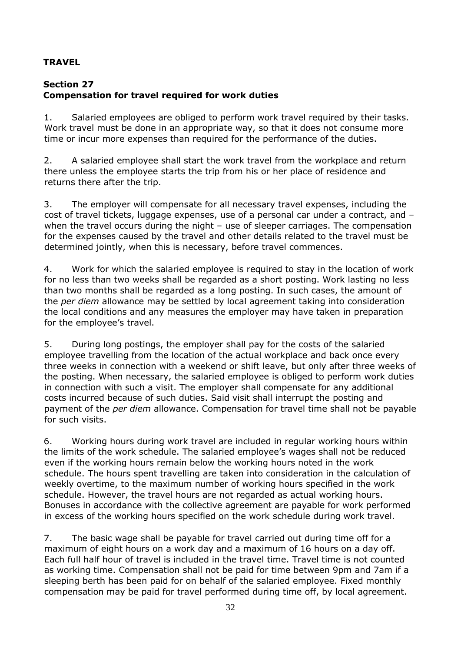# **TRAVEL**

# <span id="page-31-1"></span><span id="page-31-0"></span>**Section 27 Compensation for travel required for work duties**

1. Salaried employees are obliged to perform work travel required by their tasks. Work travel must be done in an appropriate way, so that it does not consume more time or incur more expenses than required for the performance of the duties.

2. A salaried employee shall start the work travel from the workplace and return there unless the employee starts the trip from his or her place of residence and returns there after the trip.

3. The employer will compensate for all necessary travel expenses, including the cost of travel tickets, luggage expenses, use of a personal car under a contract, and – when the travel occurs during the night – use of sleeper carriages. The compensation for the expenses caused by the travel and other details related to the travel must be determined jointly, when this is necessary, before travel commences.

4. Work for which the salaried employee is required to stay in the location of work for no less than two weeks shall be regarded as a short posting. Work lasting no less than two months shall be regarded as a long posting. In such cases, the amount of the *per diem* allowance may be settled by local agreement taking into consideration the local conditions and any measures the employer may have taken in preparation for the employee's travel.

5. During long postings, the employer shall pay for the costs of the salaried employee travelling from the location of the actual workplace and back once every three weeks in connection with a weekend or shift leave, but only after three weeks of the posting. When necessary, the salaried employee is obliged to perform work duties in connection with such a visit. The employer shall compensate for any additional costs incurred because of such duties. Said visit shall interrupt the posting and payment of the *per diem* allowance. Compensation for travel time shall not be payable for such visits.

6. Working hours during work travel are included in regular working hours within the limits of the work schedule. The salaried employee's wages shall not be reduced even if the working hours remain below the working hours noted in the work schedule. The hours spent travelling are taken into consideration in the calculation of weekly overtime, to the maximum number of working hours specified in the work schedule. However, the travel hours are not regarded as actual working hours. Bonuses in accordance with the collective agreement are payable for work performed in excess of the working hours specified on the work schedule during work travel.

7. The basic wage shall be payable for travel carried out during time off for a maximum of eight hours on a work day and a maximum of 16 hours on a day off. Each full half hour of travel is included in the travel time. Travel time is not counted as working time. Compensation shall not be paid for time between 9pm and 7am if a sleeping berth has been paid for on behalf of the salaried employee. Fixed monthly compensation may be paid for travel performed during time off, by local agreement.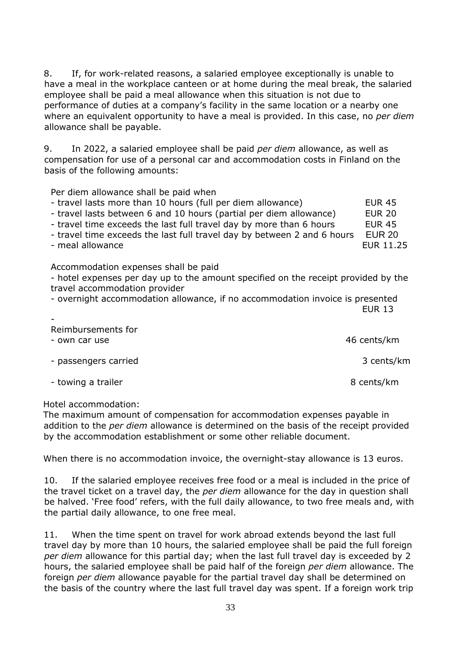8. If, for work-related reasons, a salaried employee exceptionally is unable to have a meal in the workplace canteen or at home during the meal break, the salaried employee shall be paid a meal allowance when this situation is not due to performance of duties at a company's facility in the same location or a nearby one where an equivalent opportunity to have a meal is provided. In this case, no *per diem* allowance shall be payable.

9. In 2022, a salaried employee shall be paid *per diem* allowance, as well as compensation for use of a personal car and accommodation costs in Finland on the basis of the following amounts:

<span id="page-32-0"></span>Per diem allowance shall be paid when

| - travel lasts more than 10 hours (full per diem allowance)             | <b>EUR 45</b>    |
|-------------------------------------------------------------------------|------------------|
| - travel lasts between 6 and 10 hours (partial per diem allowance)      | <b>EUR 20</b>    |
| - travel time exceeds the last full travel day by more than 6 hours     | <b>EUR 45</b>    |
| - travel time exceeds the last full travel day by between 2 and 6 hours | <b>EUR 20</b>    |
| - meal allowance                                                        | <b>EUR 11.25</b> |

<span id="page-32-1"></span>Accommodation expenses shall be paid

- hotel expenses per day up to the amount specified on the receipt provided by the travel accommodation provider

- overnight accommodation allowance, if no accommodation invoice is presented EUR 13

<span id="page-32-3"></span><span id="page-32-2"></span>

| Reimbursements for<br>- own car use | 46 cents/km |
|-------------------------------------|-------------|
| - passengers carried                | 3 cents/km  |
| - towing a trailer                  | 8 cents/km  |

#### Hotel accommodation:

-

The maximum amount of compensation for accommodation expenses payable in addition to the *per diem* allowance is determined on the basis of the receipt provided by the accommodation establishment or some other reliable document.

When there is no accommodation invoice, the overnight-stay allowance is 13 euros.

10. If the salaried employee receives free food or a meal is included in the price of the travel ticket on a travel day, the *per diem* allowance for the day in question shall be halved. 'Free food' refers, with the full daily allowance, to two free meals and, with the partial daily allowance, to one free meal.

11. When the time spent on travel for work abroad extends beyond the last full travel day by more than 10 hours, the salaried employee shall be paid the full foreign *per diem* allowance for this partial day; when the last full travel day is exceeded by 2 hours, the salaried employee shall be paid half of the foreign *per diem* allowance. The foreign *per diem* allowance payable for the partial travel day shall be determined on the basis of the country where the last full travel day was spent. If a foreign work trip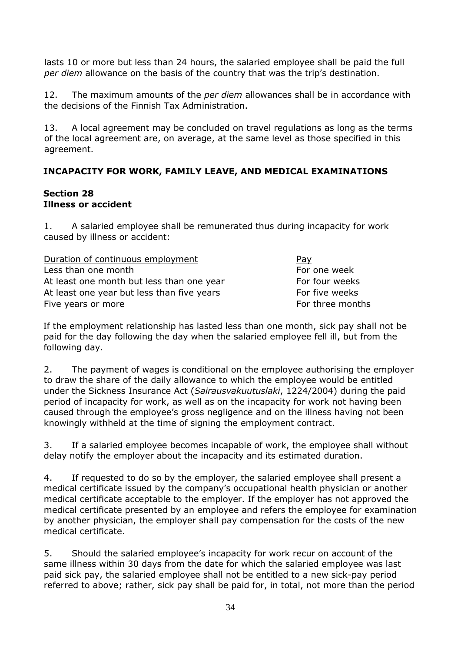lasts 10 or more but less than 24 hours, the salaried employee shall be paid the full *per diem* allowance on the basis of the country that was the trip's destination.

12. The maximum amounts of the *per diem* allowances shall be in accordance with the decisions of the Finnish Tax Administration.

13. A local agreement may be concluded on travel regulations as long as the terms of the local agreement are, on average, at the same level as those specified in this agreement.

# <span id="page-33-0"></span>**INCAPACITY FOR WORK, FAMILY LEAVE, AND MEDICAL EXAMINATIONS**

#### <span id="page-33-2"></span><span id="page-33-1"></span>**Section 28 Illness or accident**

1. A salaried employee shall be remunerated thus during incapacity for work caused by illness or accident:

| Duration of continuous employment          | Pay              |
|--------------------------------------------|------------------|
| Less than one month                        | For one week     |
| At least one month but less than one year  | For four weeks   |
| At least one year but less than five years | For five weeks   |
| Five years or more                         | For three months |

If the employment relationship has lasted less than one month, sick pay shall not be paid for the day following the day when the salaried employee fell ill, but from the following day.

2. The payment of wages is conditional on the employee authorising the employer to draw the share of the daily allowance to which the employee would be entitled under the Sickness Insurance Act (*Sairausvakuutuslaki*, 1224/2004) during the paid period of incapacity for work, as well as on the incapacity for work not having been caused through the employee's gross negligence and on the illness having not been knowingly withheld at the time of signing the employment contract.

3. If a salaried employee becomes incapable of work, the employee shall without delay notify the employer about the incapacity and its estimated duration.

4. If requested to do so by the employer, the salaried employee shall present a medical certificate issued by the company's occupational health physician or another medical certificate acceptable to the employer. If the employer has not approved the medical certificate presented by an employee and refers the employee for examination by another physician, the employer shall pay compensation for the costs of the new medical certificate.

5. Should the salaried employee's incapacity for work recur on account of the same illness within 30 days from the date for which the salaried employee was last paid sick pay, the salaried employee shall not be entitled to a new sick-pay period referred to above; rather, sick pay shall be paid for, in total, not more than the period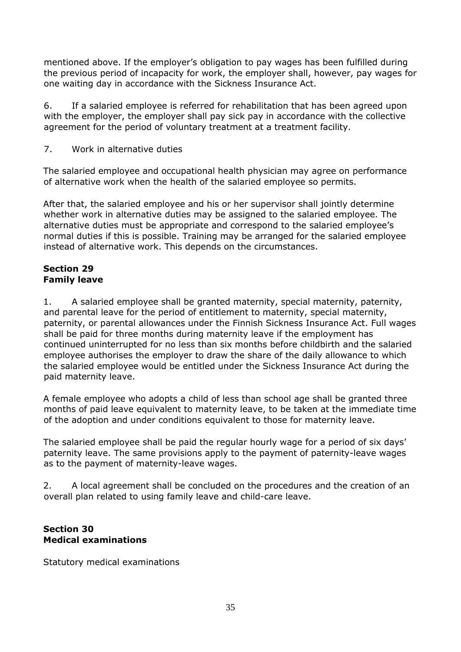mentioned above. If the employer's obligation to pay wages has been fulfilled during the previous period of incapacity for work, the employer shall, however, pay wages for one waiting day in accordance with the Sickness Insurance Act.

6. If a salaried employee is referred for rehabilitation that has been agreed upon with the employer, the employer shall pay sick pay in accordance with the collective agreement for the period of voluntary treatment at a treatment facility.

7. Work in alternative duties

The salaried employee and occupational health physician may agree on performance of alternative work when the health of the salaried employee so permits.

After that, the salaried employee and his or her supervisor shall jointly determine whether work in alternative duties may be assigned to the salaried employee. The alternative duties must be appropriate and correspond to the salaried employee's normal duties if this is possible. Training may be arranged for the salaried employee instead of alternative work. This depends on the circumstances.

#### <span id="page-34-1"></span><span id="page-34-0"></span>**Section 29 Family leave**

1. A salaried employee shall be granted maternity, special maternity, paternity, and parental leave for the period of entitlement to maternity, special maternity, paternity, or parental allowances under the Finnish Sickness Insurance Act. Full wages shall be paid for three months during maternity leave if the employment has continued uninterrupted for no less than six months before childbirth and the salaried employee authorises the employer to draw the share of the daily allowance to which the salaried employee would be entitled under the Sickness Insurance Act during the paid maternity leave.

A female employee who adopts a child of less than school age shall be granted three months of paid leave equivalent to maternity leave, to be taken at the immediate time of the adoption and under conditions equivalent to those for maternity leave.

The salaried employee shall be paid the regular hourly wage for a period of six days' paternity leave. The same provisions apply to the payment of paternity-leave wages as to the payment of maternity-leave wages.

2. A local agreement shall be concluded on the procedures and the creation of an overall plan related to using family leave and child-care leave.

#### <span id="page-34-3"></span><span id="page-34-2"></span>**Section 30 Medical examinations**

<span id="page-34-4"></span>Statutory medical examinations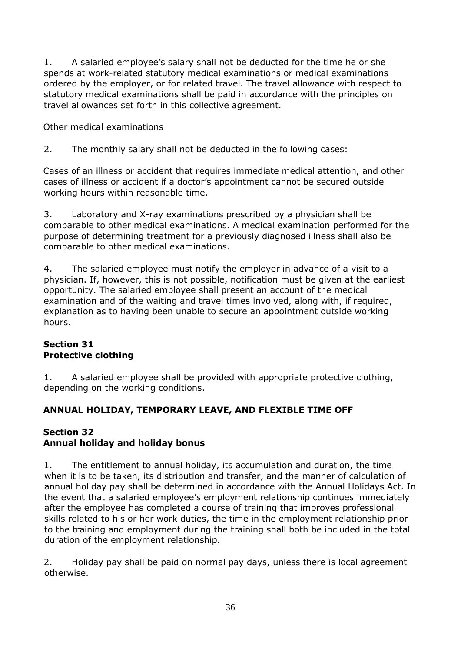1. A salaried employee's salary shall not be deducted for the time he or she spends at work-related statutory medical examinations or medical examinations ordered by the employer, or for related travel. The travel allowance with respect to statutory medical examinations shall be paid in accordance with the principles on travel allowances set forth in this collective agreement.

<span id="page-35-0"></span>Other medical examinations

2. The monthly salary shall not be deducted in the following cases:

Cases of an illness or accident that requires immediate medical attention, and other cases of illness or accident if a doctor's appointment cannot be secured outside working hours within reasonable time.

3. Laboratory and X-ray examinations prescribed by a physician shall be comparable to other medical examinations. A medical examination performed for the purpose of determining treatment for a previously diagnosed illness shall also be comparable to other medical examinations.

4. The salaried employee must notify the employer in advance of a visit to a physician. If, however, this is not possible, notification must be given at the earliest opportunity. The salaried employee shall present an account of the medical examination and of the waiting and travel times involved, along with, if required, explanation as to having been unable to secure an appointment outside working hours.

#### <span id="page-35-2"></span><span id="page-35-1"></span>**Section 31 Protective clothing**

1. A salaried employee shall be provided with appropriate protective clothing, depending on the working conditions.

# <span id="page-35-3"></span>**ANNUAL HOLIDAY, TEMPORARY LEAVE, AND FLEXIBLE TIME OFF**

# <span id="page-35-5"></span><span id="page-35-4"></span>**Section 32 Annual holiday and holiday bonus**

1. The entitlement to annual holiday, its accumulation and duration, the time when it is to be taken, its distribution and transfer, and the manner of calculation of annual holiday pay shall be determined in accordance with the Annual Holidays Act. In the event that a salaried employee's employment relationship continues immediately after the employee has completed a course of training that improves professional skills related to his or her work duties, the time in the employment relationship prior to the training and employment during the training shall both be included in the total duration of the employment relationship.

2. Holiday pay shall be paid on normal pay days, unless there is local agreement otherwise.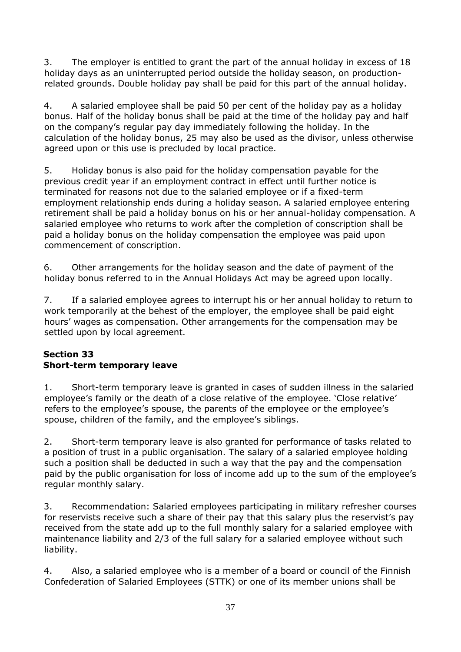3. The employer is entitled to grant the part of the annual holiday in excess of 18 holiday days as an uninterrupted period outside the holiday season, on productionrelated grounds. Double holiday pay shall be paid for this part of the annual holiday.

4. A salaried employee shall be paid 50 per cent of the holiday pay as a holiday bonus. Half of the holiday bonus shall be paid at the time of the holiday pay and half on the company's regular pay day immediately following the holiday. In the calculation of the holiday bonus, 25 may also be used as the divisor, unless otherwise agreed upon or this use is precluded by local practice.

5. Holiday bonus is also paid for the holiday compensation payable for the previous credit year if an employment contract in effect until further notice is terminated for reasons not due to the salaried employee or if a fixed-term employment relationship ends during a holiday season. A salaried employee entering retirement shall be paid a holiday bonus on his or her annual-holiday compensation. A salaried employee who returns to work after the completion of conscription shall be paid a holiday bonus on the holiday compensation the employee was paid upon commencement of conscription.

6. Other arrangements for the holiday season and the date of payment of the holiday bonus referred to in the Annual Holidays Act may be agreed upon locally.

7. If a salaried employee agrees to interrupt his or her annual holiday to return to work temporarily at the behest of the employer, the employee shall be paid eight hours' wages as compensation. Other arrangements for the compensation may be settled upon by local agreement.

# <span id="page-36-1"></span><span id="page-36-0"></span>**Section 33 Short-term temporary leave**

1. Short-term temporary leave is granted in cases of sudden illness in the salaried employee's family or the death of a close relative of the employee. 'Close relative' refers to the employee's spouse, the parents of the employee or the employee's spouse, children of the family, and the employee's siblings.

2. Short-term temporary leave is also granted for performance of tasks related to a position of trust in a public organisation. The salary of a salaried employee holding such a position shall be deducted in such a way that the pay and the compensation paid by the public organisation for loss of income add up to the sum of the employee's regular monthly salary.

3. Recommendation: Salaried employees participating in military refresher courses for reservists receive such a share of their pay that this salary plus the reservist's pay received from the state add up to the full monthly salary for a salaried employee with maintenance liability and 2/3 of the full salary for a salaried employee without such liability.

4. Also, a salaried employee who is a member of a board or council of the Finnish Confederation of Salaried Employees (STTK) or one of its member unions shall be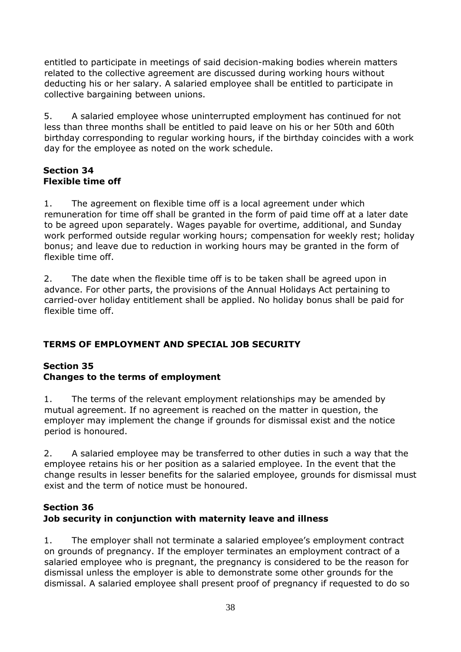entitled to participate in meetings of said decision-making bodies wherein matters related to the collective agreement are discussed during working hours without deducting his or her salary. A salaried employee shall be entitled to participate in collective bargaining between unions.

5. A salaried employee whose uninterrupted employment has continued for not less than three months shall be entitled to paid leave on his or her 50th and 60th birthday corresponding to regular working hours, if the birthday coincides with a work day for the employee as noted on the work schedule.

## <span id="page-37-1"></span><span id="page-37-0"></span>**Section 34 Flexible time off**

1. The agreement on flexible time off is a local agreement under which remuneration for time off shall be granted in the form of paid time off at a later date to be agreed upon separately. Wages payable for overtime, additional, and Sunday work performed outside regular working hours; compensation for weekly rest; holiday bonus; and leave due to reduction in working hours may be granted in the form of flexible time off.

2. The date when the flexible time off is to be taken shall be agreed upon in advance. For other parts, the provisions of the Annual Holidays Act pertaining to carried-over holiday entitlement shall be applied. No holiday bonus shall be paid for flexible time off.

# <span id="page-37-2"></span>**TERMS OF EMPLOYMENT AND SPECIAL JOB SECURITY**

# <span id="page-37-4"></span><span id="page-37-3"></span>**Section 35 Changes to the terms of employment**

1. The terms of the relevant employment relationships may be amended by mutual agreement. If no agreement is reached on the matter in question, the employer may implement the change if grounds for dismissal exist and the notice period is honoured.

2. A salaried employee may be transferred to other duties in such a way that the employee retains his or her position as a salaried employee. In the event that the change results in lesser benefits for the salaried employee, grounds for dismissal must exist and the term of notice must be honoured.

# <span id="page-37-6"></span><span id="page-37-5"></span>**Section 36 Job security in conjunction with maternity leave and illness**

1. The employer shall not terminate a salaried employee's employment contract on grounds of pregnancy. If the employer terminates an employment contract of a salaried employee who is pregnant, the pregnancy is considered to be the reason for dismissal unless the employer is able to demonstrate some other grounds for the dismissal. A salaried employee shall present proof of pregnancy if requested to do so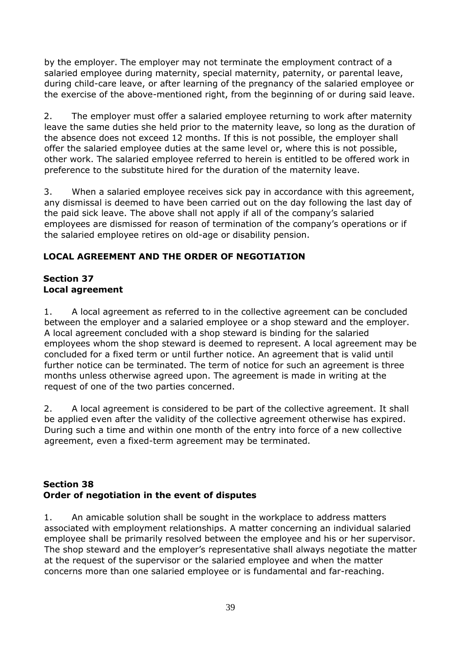by the employer. The employer may not terminate the employment contract of a salaried employee during maternity, special maternity, paternity, or parental leave, during child-care leave, or after learning of the pregnancy of the salaried employee or the exercise of the above-mentioned right, from the beginning of or during said leave.

2. The employer must offer a salaried employee returning to work after maternity leave the same duties she held prior to the maternity leave, so long as the duration of the absence does not exceed 12 months. If this is not possible, the employer shall offer the salaried employee duties at the same level or, where this is not possible, other work. The salaried employee referred to herein is entitled to be offered work in preference to the substitute hired for the duration of the maternity leave.

3. When a salaried employee receives sick pay in accordance with this agreement, any dismissal is deemed to have been carried out on the day following the last day of the paid sick leave. The above shall not apply if all of the company's salaried employees are dismissed for reason of termination of the company's operations or if the salaried employee retires on old-age or disability pension.

# <span id="page-38-0"></span>**LOCAL AGREEMENT AND THE ORDER OF NEGOTIATION**

#### <span id="page-38-2"></span><span id="page-38-1"></span>**Section 37 Local agreement**

1. A local agreement as referred to in the collective agreement can be concluded between the employer and a salaried employee or a shop steward and the employer. A local agreement concluded with a shop steward is binding for the salaried employees whom the shop steward is deemed to represent. A local agreement may be concluded for a fixed term or until further notice. An agreement that is valid until further notice can be terminated. The term of notice for such an agreement is three months unless otherwise agreed upon. The agreement is made in writing at the request of one of the two parties concerned.

2. A local agreement is considered to be part of the collective agreement. It shall be applied even after the validity of the collective agreement otherwise has expired. During such a time and within one month of the entry into force of a new collective agreement, even a fixed-term agreement may be terminated.

#### <span id="page-38-4"></span><span id="page-38-3"></span>**Section 38 Order of negotiation in the event of disputes**

1. An amicable solution shall be sought in the workplace to address matters associated with employment relationships. A matter concerning an individual salaried employee shall be primarily resolved between the employee and his or her supervisor. The shop steward and the employer's representative shall always negotiate the matter at the request of the supervisor or the salaried employee and when the matter concerns more than one salaried employee or is fundamental and far-reaching.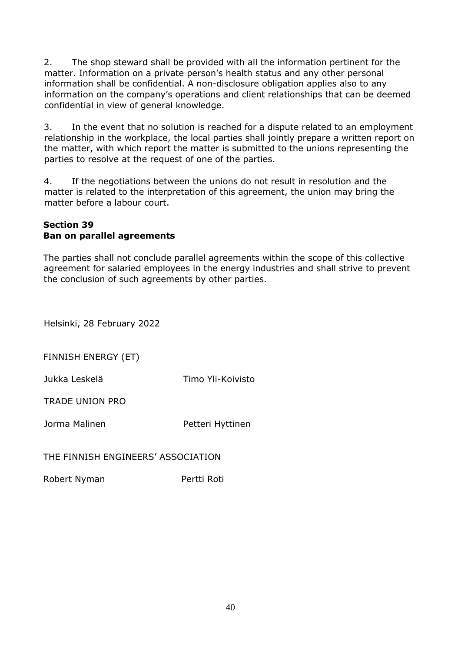2. The shop steward shall be provided with all the information pertinent for the matter. Information on a private person's health status and any other personal information shall be confidential. A non-disclosure obligation applies also to any information on the company's operations and client relationships that can be deemed confidential in view of general knowledge.

3. In the event that no solution is reached for a dispute related to an employment relationship in the workplace, the local parties shall jointly prepare a written report on the matter, with which report the matter is submitted to the unions representing the parties to resolve at the request of one of the parties.

4. If the negotiations between the unions do not result in resolution and the matter is related to the interpretation of this agreement, the union may bring the matter before a labour court.

#### <span id="page-39-1"></span><span id="page-39-0"></span>**Section 39 Ban on parallel agreements**

The parties shall not conclude parallel agreements within the scope of this collective agreement for salaried employees in the energy industries and shall strive to prevent the conclusion of such agreements by other parties.

Helsinki, 28 February 2022

FINNISH ENERGY (ET)

Jukka Leskelä Timo Yli-Koivisto

TRADE UNION PRO

Jorma Malinen **Petteri Hyttinen** 

THE FINNISH ENGINEERS' ASSOCIATION

Robert Nyman Pertti Roti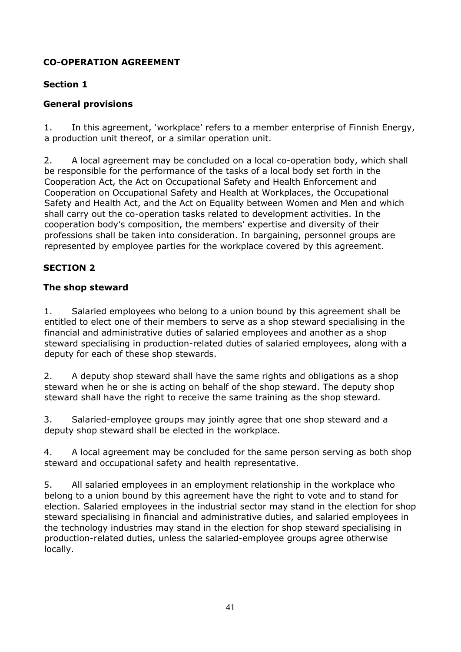# <span id="page-40-0"></span>**CO-OPERATION AGREEMENT**

# **Section 1**

# <span id="page-40-1"></span>**General provisions**

1. In this agreement, 'workplace' refers to a member enterprise of Finnish Energy, a production unit thereof, or a similar operation unit.

2. A local agreement may be concluded on a local co-operation body, which shall be responsible for the performance of the tasks of a local body set forth in the Cooperation Act, the Act on Occupational Safety and Health Enforcement and Cooperation on Occupational Safety and Health at Workplaces, the Occupational Safety and Health Act, and the Act on Equality between Women and Men and which shall carry out the co-operation tasks related to development activities. In the cooperation body's composition, the members' expertise and diversity of their professions shall be taken into consideration. In bargaining, personnel groups are represented by employee parties for the workplace covered by this agreement.

# **SECTION 2**

# <span id="page-40-2"></span>**The shop steward**

1. Salaried employees who belong to a union bound by this agreement shall be entitled to elect one of their members to serve as a shop steward specialising in the financial and administrative duties of salaried employees and another as a shop steward specialising in production-related duties of salaried employees, along with a deputy for each of these shop stewards.

2. A deputy shop steward shall have the same rights and obligations as a shop steward when he or she is acting on behalf of the shop steward. The deputy shop steward shall have the right to receive the same training as the shop steward.

3. Salaried-employee groups may jointly agree that one shop steward and a deputy shop steward shall be elected in the workplace.

4. A local agreement may be concluded for the same person serving as both shop steward and occupational safety and health representative.

5. All salaried employees in an employment relationship in the workplace who belong to a union bound by this agreement have the right to vote and to stand for election. Salaried employees in the industrial sector may stand in the election for shop steward specialising in financial and administrative duties, and salaried employees in the technology industries may stand in the election for shop steward specialising in production-related duties, unless the salaried-employee groups agree otherwise locally.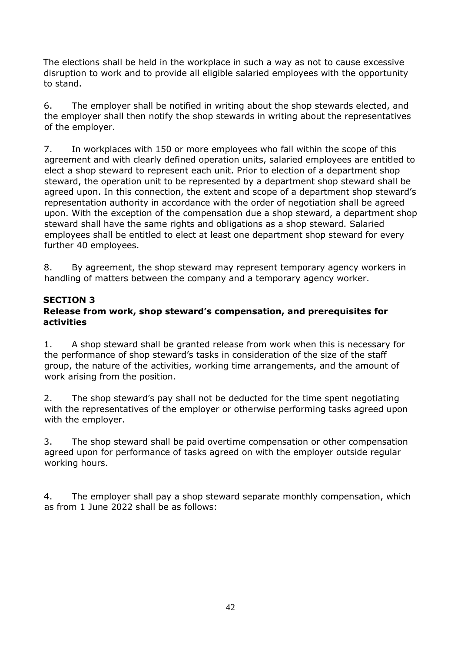The elections shall be held in the workplace in such a way as not to cause excessive disruption to work and to provide all eligible salaried employees with the opportunity to stand.

6. The employer shall be notified in writing about the shop stewards elected, and the employer shall then notify the shop stewards in writing about the representatives of the employer.

7. In workplaces with 150 or more employees who fall within the scope of this agreement and with clearly defined operation units, salaried employees are entitled to elect a shop steward to represent each unit. Prior to election of a department shop steward, the operation unit to be represented by a department shop steward shall be agreed upon. In this connection, the extent and scope of a department shop steward's representation authority in accordance with the order of negotiation shall be agreed upon. With the exception of the compensation due a shop steward, a department shop steward shall have the same rights and obligations as a shop steward. Salaried employees shall be entitled to elect at least one department shop steward for every further 40 employees.

8. By agreement, the shop steward may represent temporary agency workers in handling of matters between the company and a temporary agency worker.

# **SECTION 3**

#### <span id="page-41-1"></span><span id="page-41-0"></span>**Release from work, shop steward's compensation, and prerequisites for activities**

1. A shop steward shall be granted release from work when this is necessary for the performance of shop steward's tasks in consideration of the size of the staff group, the nature of the activities, working time arrangements, and the amount of work arising from the position.

2. The shop steward's pay shall not be deducted for the time spent negotiating with the representatives of the employer or otherwise performing tasks agreed upon with the employer.

3. The shop steward shall be paid overtime compensation or other compensation agreed upon for performance of tasks agreed on with the employer outside regular working hours.

4. The employer shall pay a shop steward separate monthly compensation, which as from 1 June 2022 shall be as follows: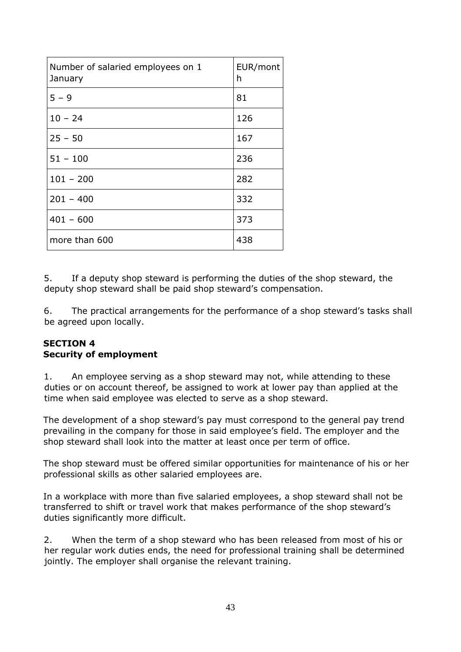| Number of salaried employees on 1<br>January | EUR/mont<br>h |
|----------------------------------------------|---------------|
| $5 - 9$                                      | 81            |
| $10 - 24$                                    | 126           |
| $25 - 50$                                    | 167           |
| $51 - 100$                                   | 236           |
| $101 - 200$                                  | 282           |
| $201 - 400$                                  | 332           |
| $401 - 600$                                  | 373           |
| more than 600                                | 438           |

5. If a deputy shop steward is performing the duties of the shop steward, the deputy shop steward shall be paid shop steward's compensation.

6. The practical arrangements for the performance of a shop steward's tasks shall be agreed upon locally.

#### <span id="page-42-0"></span>**SECTION 4 Security of employment**

1. An employee serving as a shop steward may not, while attending to these duties or on account thereof, be assigned to work at lower pay than applied at the time when said employee was elected to serve as a shop steward.

The development of a shop steward's pay must correspond to the general pay trend prevailing in the company for those in said employee's field. The employer and the shop steward shall look into the matter at least once per term of office.

The shop steward must be offered similar opportunities for maintenance of his or her professional skills as other salaried employees are.

In a workplace with more than five salaried employees, a shop steward shall not be transferred to shift or travel work that makes performance of the shop steward's duties significantly more difficult.

2. When the term of a shop steward who has been released from most of his or her regular work duties ends, the need for professional training shall be determined jointly. The employer shall organise the relevant training.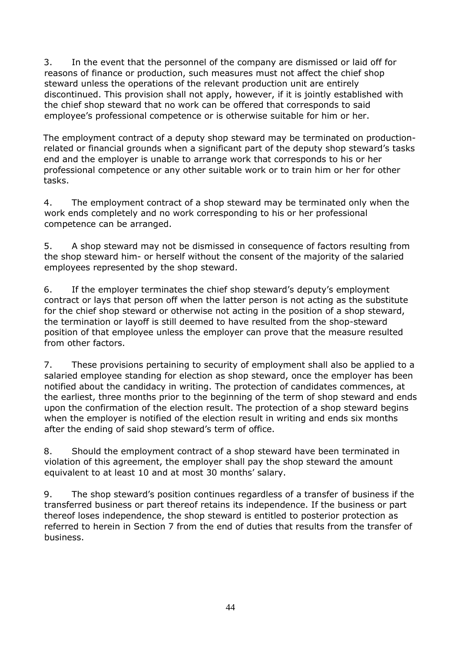3. In the event that the personnel of the company are dismissed or laid off for reasons of finance or production, such measures must not affect the chief shop steward unless the operations of the relevant production unit are entirely discontinued. This provision shall not apply, however, if it is jointly established with the chief shop steward that no work can be offered that corresponds to said employee's professional competence or is otherwise suitable for him or her.

The employment contract of a deputy shop steward may be terminated on productionrelated or financial grounds when a significant part of the deputy shop steward's tasks end and the employer is unable to arrange work that corresponds to his or her professional competence or any other suitable work or to train him or her for other tasks.

4. The employment contract of a shop steward may be terminated only when the work ends completely and no work corresponding to his or her professional competence can be arranged.

5. A shop steward may not be dismissed in consequence of factors resulting from the shop steward him- or herself without the consent of the majority of the salaried employees represented by the shop steward.

6. If the employer terminates the chief shop steward's deputy's employment contract or lays that person off when the latter person is not acting as the substitute for the chief shop steward or otherwise not acting in the position of a shop steward, the termination or layoff is still deemed to have resulted from the shop-steward position of that employee unless the employer can prove that the measure resulted from other factors.

7. These provisions pertaining to security of employment shall also be applied to a salaried employee standing for election as shop steward, once the employer has been notified about the candidacy in writing. The protection of candidates commences, at the earliest, three months prior to the beginning of the term of shop steward and ends upon the confirmation of the election result. The protection of a shop steward begins when the employer is notified of the election result in writing and ends six months after the ending of said shop steward's term of office.

8. Should the employment contract of a shop steward have been terminated in violation of this agreement, the employer shall pay the shop steward the amount equivalent to at least 10 and at most 30 months' salary.

9. The shop steward's position continues regardless of a transfer of business if the transferred business or part thereof retains its independence. If the business or part thereof loses independence, the shop steward is entitled to posterior protection as referred to herein in Section 7 from the end of duties that results from the transfer of business.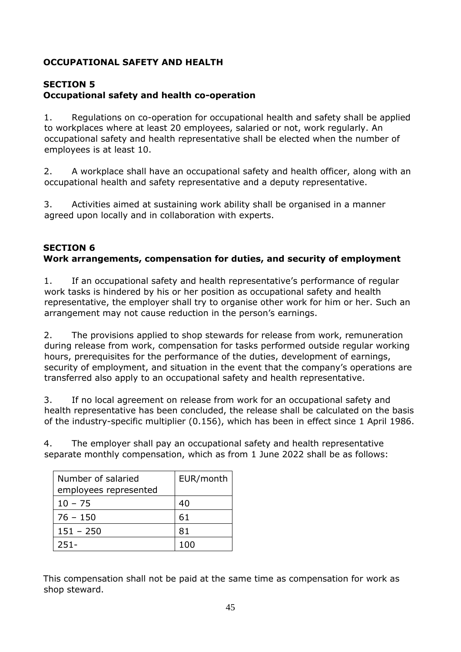# <span id="page-44-0"></span>**OCCUPATIONAL SAFETY AND HEALTH**

# **SECTION 5**

# <span id="page-44-1"></span>**Occupational safety and health co-operation**

1. Regulations on co-operation for occupational health and safety shall be applied to workplaces where at least 20 employees, salaried or not, work regularly. An occupational safety and health representative shall be elected when the number of employees is at least 10.

2. A workplace shall have an occupational safety and health officer, along with an occupational health and safety representative and a deputy representative.

3. Activities aimed at sustaining work ability shall be organised in a manner agreed upon locally and in collaboration with experts.

#### <span id="page-44-2"></span>**SECTION 6 Work arrangements, compensation for duties, and security of employment**

1. If an occupational safety and health representative's performance of regular work tasks is hindered by his or her position as occupational safety and health representative, the employer shall try to organise other work for him or her. Such an arrangement may not cause reduction in the person's earnings.

2. The provisions applied to shop stewards for release from work, remuneration during release from work, compensation for tasks performed outside regular working hours, prerequisites for the performance of the duties, development of earnings, security of employment, and situation in the event that the company's operations are transferred also apply to an occupational safety and health representative.

3. If no local agreement on release from work for an occupational safety and health representative has been concluded, the release shall be calculated on the basis of the industry-specific multiplier (0.156), which has been in effect since 1 April 1986.

4. The employer shall pay an occupational safety and health representative separate monthly compensation, which as from 1 June 2022 shall be as follows:

| Number of salaried    | EUR/month |  |
|-----------------------|-----------|--|
| employees represented |           |  |
| $10 - 75$             | 40        |  |
| 76 - 150              | 61        |  |
| $151 - 250$           | 81        |  |
| 251-                  |           |  |

This compensation shall not be paid at the same time as compensation for work as shop steward.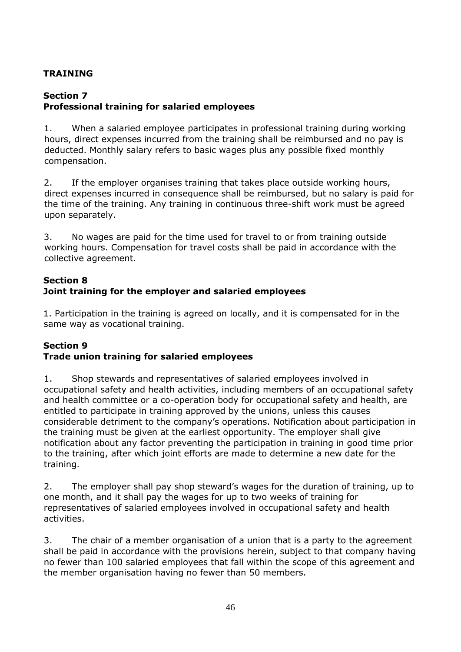# <span id="page-45-0"></span>**TRAINING**

# **Section 7**

# <span id="page-45-1"></span>**Professional training for salaried employees**

1. When a salaried employee participates in professional training during working hours, direct expenses incurred from the training shall be reimbursed and no pay is deducted. Monthly salary refers to basic wages plus any possible fixed monthly compensation.

2. If the employer organises training that takes place outside working hours, direct expenses incurred in consequence shall be reimbursed, but no salary is paid for the time of the training. Any training in continuous three-shift work must be agreed upon separately.

3. No wages are paid for the time used for travel to or from training outside working hours. Compensation for travel costs shall be paid in accordance with the collective agreement.

# <span id="page-45-2"></span>**Section 8 Joint training for the employer and salaried employees**

1. Participation in the training is agreed on locally, and it is compensated for in the same way as vocational training.

#### <span id="page-45-3"></span>**Section 9 Trade union training for salaried employees**

1. Shop stewards and representatives of salaried employees involved in occupational safety and health activities, including members of an occupational safety and health committee or a co-operation body for occupational safety and health, are entitled to participate in training approved by the unions, unless this causes considerable detriment to the company's operations. Notification about participation in the training must be given at the earliest opportunity. The employer shall give notification about any factor preventing the participation in training in good time prior to the training, after which joint efforts are made to determine a new date for the training.

2. The employer shall pay shop steward's wages for the duration of training, up to one month, and it shall pay the wages for up to two weeks of training for representatives of salaried employees involved in occupational safety and health activities.

3. The chair of a member organisation of a union that is a party to the agreement shall be paid in accordance with the provisions herein, subject to that company having no fewer than 100 salaried employees that fall within the scope of this agreement and the member organisation having no fewer than 50 members.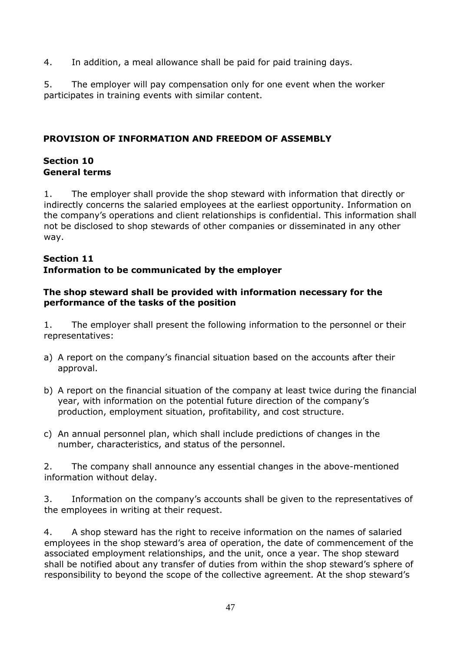4. In addition, a meal allowance shall be paid for paid training days.

5. The employer will pay compensation only for one event when the worker participates in training events with similar content.

# <span id="page-46-0"></span>**PROVISION OF INFORMATION AND FREEDOM OF ASSEMBLY**

## <span id="page-46-1"></span>**Section 10 General terms**

1. The employer shall provide the shop steward with information that directly or indirectly concerns the salaried employees at the earliest opportunity. Information on the company's operations and client relationships is confidential. This information shall not be disclosed to shop stewards of other companies or disseminated in any other way.

#### <span id="page-46-2"></span>**Section 11 Information to be communicated by the employer**

#### **The shop steward shall be provided with information necessary for the performance of the tasks of the position**

1. The employer shall present the following information to the personnel or their representatives:

- a) A report on the company's financial situation based on the accounts after their approval.
- b) A report on the financial situation of the company at least twice during the financial year, with information on the potential future direction of the company's production, employment situation, profitability, and cost structure.
- c) An annual personnel plan, which shall include predictions of changes in the number, characteristics, and status of the personnel.

2. The company shall announce any essential changes in the above-mentioned information without delay.

3. Information on the company's accounts shall be given to the representatives of the employees in writing at their request.

4. A shop steward has the right to receive information on the names of salaried employees in the shop steward's area of operation, the date of commencement of the associated employment relationships, and the unit, once a year. The shop steward shall be notified about any transfer of duties from within the shop steward's sphere of responsibility to beyond the scope of the collective agreement. At the shop steward's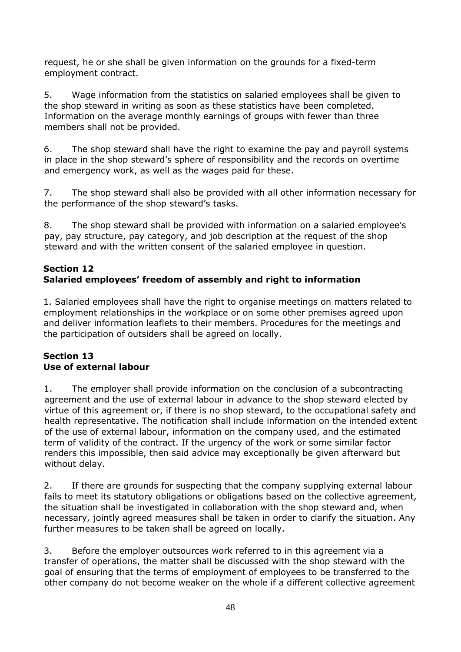request, he or she shall be given information on the grounds for a fixed-term employment contract.

5. Wage information from the statistics on salaried employees shall be given to the shop steward in writing as soon as these statistics have been completed. Information on the average monthly earnings of groups with fewer than three members shall not be provided.

6. The shop steward shall have the right to examine the pay and payroll systems in place in the shop steward's sphere of responsibility and the records on overtime and emergency work, as well as the wages paid for these.

7. The shop steward shall also be provided with all other information necessary for the performance of the shop steward's tasks.

8. The shop steward shall be provided with information on a salaried employee's pay, pay structure, pay category, and job description at the request of the shop steward and with the written consent of the salaried employee in question.

# <span id="page-47-0"></span>**Section 12 Salaried employees' freedom of assembly and right to information**

1. Salaried employees shall have the right to organise meetings on matters related to employment relationships in the workplace or on some other premises agreed upon and deliver information leaflets to their members. Procedures for the meetings and the participation of outsiders shall be agreed on locally.

# **Section 13 Use of external labour**

1. The employer shall provide information on the conclusion of a subcontracting agreement and the use of external labour in advance to the shop steward elected by virtue of this agreement or, if there is no shop steward, to the occupational safety and health representative. The notification shall include information on the intended extent of the use of external labour, information on the company used, and the estimated term of validity of the contract. If the urgency of the work or some similar factor renders this impossible, then said advice may exceptionally be given afterward but without delay.

2. If there are grounds for suspecting that the company supplying external labour fails to meet its statutory obligations or obligations based on the collective agreement, the situation shall be investigated in collaboration with the shop steward and, when necessary, jointly agreed measures shall be taken in order to clarify the situation. Any further measures to be taken shall be agreed on locally.

3. Before the employer outsources work referred to in this agreement via a transfer of operations, the matter shall be discussed with the shop steward with the goal of ensuring that the terms of employment of employees to be transferred to the other company do not become weaker on the whole if a different collective agreement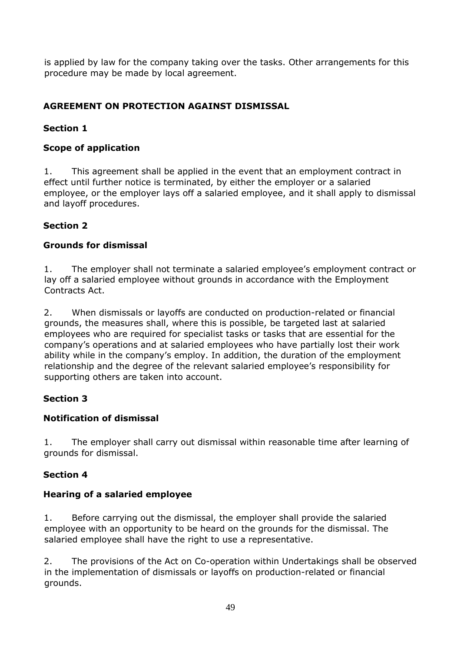is applied by law for the company taking over the tasks. Other arrangements for this procedure may be made by local agreement.

# <span id="page-48-0"></span>**AGREEMENT ON PROTECTION AGAINST DISMISSAL**

# **Section 1**

# <span id="page-48-1"></span>**Scope of application**

1. This agreement shall be applied in the event that an employment contract in effect until further notice is terminated, by either the employer or a salaried employee, or the employer lays off a salaried employee, and it shall apply to dismissal and layoff procedures.

# **Section 2**

# <span id="page-48-2"></span>**Grounds for dismissal**

1. The employer shall not terminate a salaried employee's employment contract or lay off a salaried employee without grounds in accordance with the Employment Contracts Act.

2. When dismissals or layoffs are conducted on production-related or financial grounds, the measures shall, where this is possible, be targeted last at salaried employees who are required for specialist tasks or tasks that are essential for the company's operations and at salaried employees who have partially lost their work ability while in the company's employ. In addition, the duration of the employment relationship and the degree of the relevant salaried employee's responsibility for supporting others are taken into account.

# **Section 3**

# <span id="page-48-3"></span>**Notification of dismissal**

1. The employer shall carry out dismissal within reasonable time after learning of grounds for dismissal.

# **Section 4**

# <span id="page-48-4"></span>**Hearing of a salaried employee**

1. Before carrying out the dismissal, the employer shall provide the salaried employee with an opportunity to be heard on the grounds for the dismissal. The salaried employee shall have the right to use a representative.

2. The provisions of the Act on Co-operation within Undertakings shall be observed in the implementation of dismissals or layoffs on production-related or financial grounds.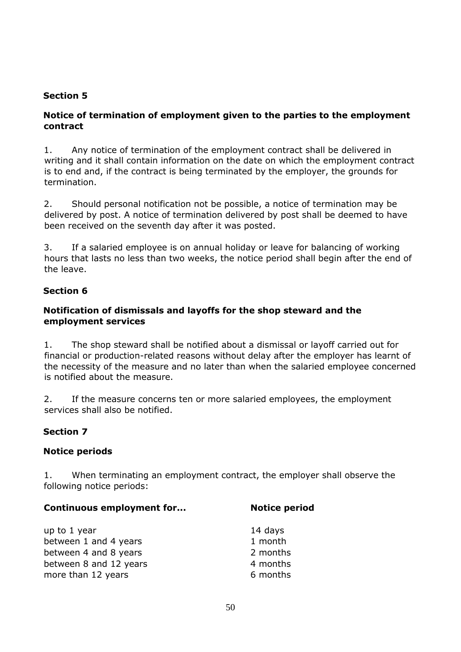#### **Section 5**

#### <span id="page-49-0"></span>**Notice of termination of employment given to the parties to the employment contract**

1. Any notice of termination of the employment contract shall be delivered in writing and it shall contain information on the date on which the employment contract is to end and, if the contract is being terminated by the employer, the grounds for termination.

2. Should personal notification not be possible, a notice of termination may be delivered by post. A notice of termination delivered by post shall be deemed to have been received on the seventh day after it was posted.

3. If a salaried employee is on annual holiday or leave for balancing of working hours that lasts no less than two weeks, the notice period shall begin after the end of the leave.

#### **Section 6**

#### <span id="page-49-1"></span>**Notification of dismissals and layoffs for the shop steward and the employment services**

1. The shop steward shall be notified about a dismissal or layoff carried out for financial or production-related reasons without delay after the employer has learnt of the necessity of the measure and no later than when the salaried employee concerned is notified about the measure.

2. If the measure concerns ten or more salaried employees, the employment services shall also be notified.

#### **Section 7**

#### <span id="page-49-2"></span>**Notice periods**

1. When terminating an employment contract, the employer shall observe the following notice periods:

#### **Continuous employment for... Notice period**

| up to 1 year           | 14 days  |
|------------------------|----------|
| between 1 and 4 years  | 1 month  |
| between 4 and 8 years  | 2 months |
| between 8 and 12 years | 4 months |
| more than 12 years     | 6 months |
|                        |          |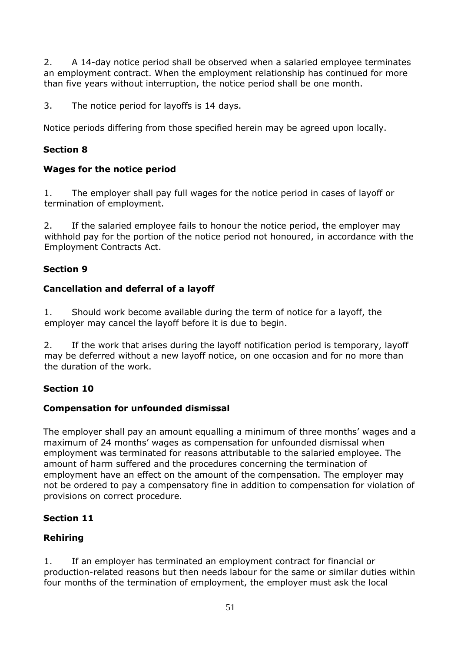2. A 14-day notice period shall be observed when a salaried employee terminates an employment contract. When the employment relationship has continued for more than five years without interruption, the notice period shall be one month.

3. The notice period for layoffs is 14 days.

Notice periods differing from those specified herein may be agreed upon locally.

# **Section 8**

# <span id="page-50-0"></span>**Wages for the notice period**

1. The employer shall pay full wages for the notice period in cases of layoff or termination of employment.

2. If the salaried employee fails to honour the notice period, the employer may withhold pay for the portion of the notice period not honoured, in accordance with the Employment Contracts Act.

# **Section 9**

# <span id="page-50-1"></span>**Cancellation and deferral of a layoff**

1. Should work become available during the term of notice for a layoff, the employer may cancel the layoff before it is due to begin.

2. If the work that arises during the layoff notification period is temporary, layoff may be deferred without a new layoff notice, on one occasion and for no more than the duration of the work.

# **Section 10**

# <span id="page-50-2"></span>**Compensation for unfounded dismissal**

The employer shall pay an amount equalling a minimum of three months' wages and a maximum of 24 months' wages as compensation for unfounded dismissal when employment was terminated for reasons attributable to the salaried employee. The amount of harm suffered and the procedures concerning the termination of employment have an effect on the amount of the compensation. The employer may not be ordered to pay a compensatory fine in addition to compensation for violation of provisions on correct procedure.

# **Section 11**

# <span id="page-50-3"></span>**Rehiring**

1. If an employer has terminated an employment contract for financial or production-related reasons but then needs labour for the same or similar duties within four months of the termination of employment, the employer must ask the local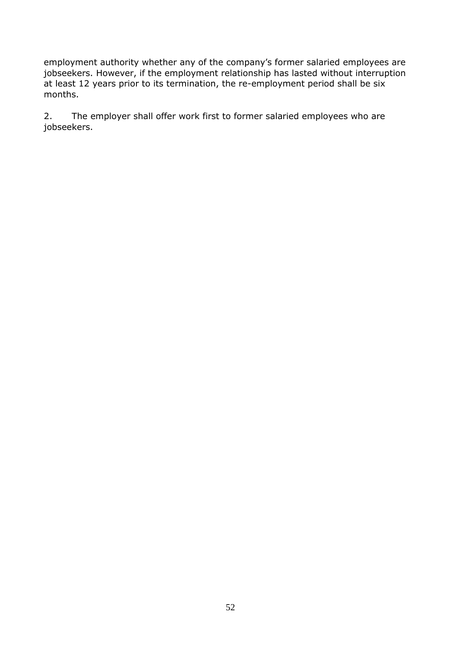employment authority whether any of the company's former salaried employees are jobseekers. However, if the employment relationship has lasted without interruption at least 12 years prior to its termination, the re-employment period shall be six months.

2. The employer shall offer work first to former salaried employees who are jobseekers.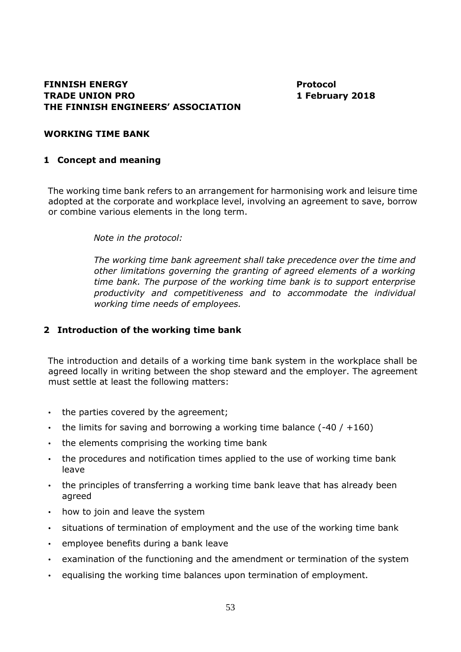#### **FINNISH ENERGY Protocol TRADE UNION PRO THE FINNISH ENGINEERS' ASSOCIATION**

**1 February 2018** 

#### <span id="page-52-0"></span>**WORKING TIME BANK**

#### **1 Concept and meaning**

The working time bank refers to an arrangement for harmonising work and leisure time adopted at the corporate and workplace level, involving an agreement to save, borrow or combine various elements in the long term.

*Note in the protocol:* 

*The working time bank agreement shall take precedence over the time and other limitations governing the granting of agreed elements of a working time bank. The purpose of the working time bank is to support enterprise productivity and competitiveness and to accommodate the individual working time needs of employees.* 

#### **2 Introduction of the working time bank**

The introduction and details of a working time bank system in the workplace shall be agreed locally in writing between the shop steward and the employer. The agreement must settle at least the following matters:

- the parties covered by the agreement;
- the limits for saving and borrowing a working time balance  $(-40 / +160)$
- the elements comprising the working time bank
- the procedures and notification times applied to the use of working time bank leave
- the principles of transferring a working time bank leave that has already been agreed
- how to join and leave the system
- situations of termination of employment and the use of the working time bank
- employee benefits during a bank leave
- examination of the functioning and the amendment or termination of the system
- equalising the working time balances upon termination of employment.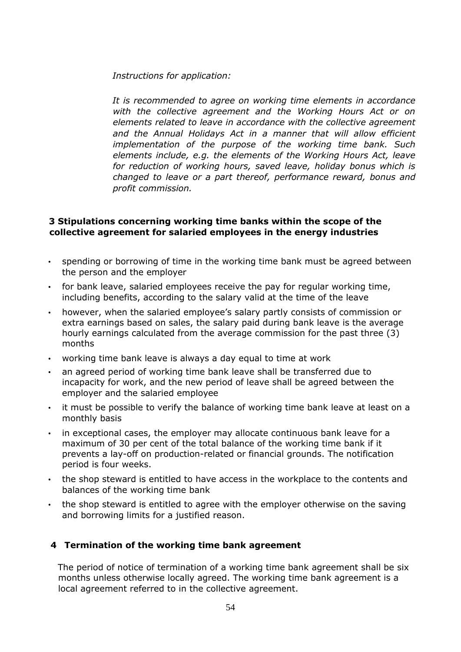*Instructions for application:* 

*It is recommended to agree on working time elements in accordance with the collective agreement and the Working Hours Act or on elements related to leave in accordance with the collective agreement*  and the Annual Holidays Act in a manner that will allow efficient *implementation of the purpose of the working time bank. Such elements include, e.g. the elements of the Working Hours Act, leave for reduction of working hours, saved leave, holiday bonus which is changed to leave or a part thereof, performance reward, bonus and profit commission.* 

#### **3 Stipulations concerning working time banks within the scope of the collective agreement for salaried employees in the energy industries**

- spending or borrowing of time in the working time bank must be agreed between the person and the employer
- for bank leave, salaried employees receive the pay for regular working time, including benefits, according to the salary valid at the time of the leave
- however, when the salaried employee's salary partly consists of commission or extra earnings based on sales, the salary paid during bank leave is the average hourly earnings calculated from the average commission for the past three (3) months
- working time bank leave is always a day equal to time at work
- an agreed period of working time bank leave shall be transferred due to incapacity for work, and the new period of leave shall be agreed between the employer and the salaried employee
- it must be possible to verify the balance of working time bank leave at least on a monthly basis
- in exceptional cases, the employer may allocate continuous bank leave for a maximum of 30 per cent of the total balance of the working time bank if it prevents a lay-off on production-related or financial grounds. The notification period is four weeks.
- the shop steward is entitled to have access in the workplace to the contents and balances of the working time bank
- the shop steward is entitled to agree with the employer otherwise on the saving and borrowing limits for a justified reason.

#### **4 Termination of the working time bank agreement**

The period of notice of termination of a working time bank agreement shall be six months unless otherwise locally agreed. The working time bank agreement is a local agreement referred to in the collective agreement.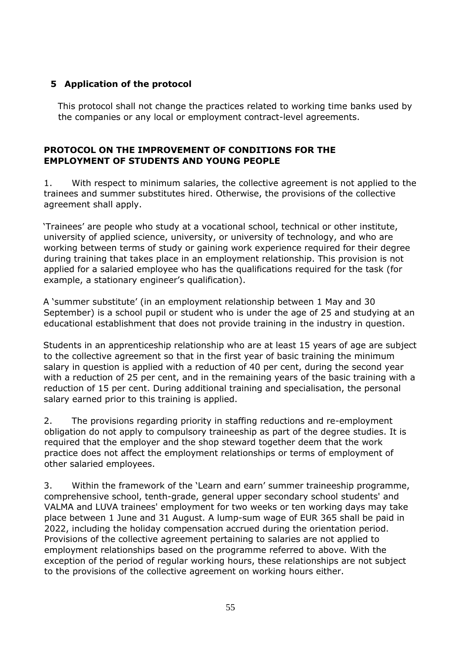# **5 Application of the protocol**

This protocol shall not change the practices related to working time banks used by the companies or any local or employment contract-level agreements.

#### <span id="page-54-1"></span><span id="page-54-0"></span>**PROTOCOL ON THE IMPROVEMENT OF CONDITIONS FOR THE EMPLOYMENT OF STUDENTS AND YOUNG PEOPLE**

1. With respect to minimum salaries, the collective agreement is not applied to the trainees and summer substitutes hired. Otherwise, the provisions of the collective agreement shall apply.

'Trainees' are people who study at a vocational school, technical or other institute, university of applied science, university, or university of technology, and who are working between terms of study or gaining work experience required for their degree during training that takes place in an employment relationship. This provision is not applied for a salaried employee who has the qualifications required for the task (for example, a stationary engineer's qualification).

A 'summer substitute' (in an employment relationship between 1 May and 30 September) is a school pupil or student who is under the age of 25 and studying at an educational establishment that does not provide training in the industry in question.

Students in an apprenticeship relationship who are at least 15 years of age are subject to the collective agreement so that in the first year of basic training the minimum salary in question is applied with a reduction of 40 per cent, during the second year with a reduction of 25 per cent, and in the remaining years of the basic training with a reduction of 15 per cent. During additional training and specialisation, the personal salary earned prior to this training is applied.

2. The provisions regarding priority in staffing reductions and re-employment obligation do not apply to compulsory traineeship as part of the degree studies. It is required that the employer and the shop steward together deem that the work practice does not affect the employment relationships or terms of employment of other salaried employees.

3. Within the framework of the 'Learn and earn' summer traineeship programme, comprehensive school, tenth-grade, general upper secondary school students' and VALMA and LUVA trainees' employment for two weeks or ten working days may take place between 1 June and 31 August. A lump-sum wage of EUR 365 shall be paid in 2022, including the holiday compensation accrued during the orientation period. Provisions of the collective agreement pertaining to salaries are not applied to employment relationships based on the programme referred to above. With the exception of the period of regular working hours, these relationships are not subject to the provisions of the collective agreement on working hours either.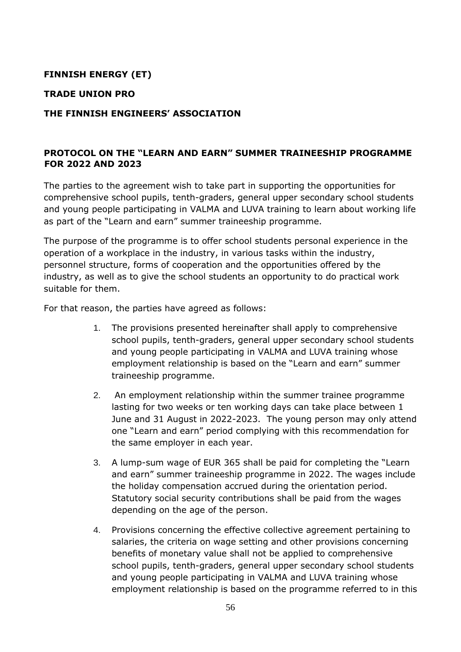# **FINNISH ENERGY (ET)**

#### **TRADE UNION PRO**

#### **THE FINNISH ENGINEERS' ASSOCIATION**

# <span id="page-55-0"></span>**PROTOCOL ON THE "LEARN AND EARN" SUMMER TRAINEESHIP PROGRAMME FOR 2022 AND 2023**

The parties to the agreement wish to take part in supporting the opportunities for comprehensive school pupils, tenth-graders, general upper secondary school students and young people participating in VALMA and LUVA training to learn about working life as part of the "Learn and earn" summer traineeship programme.

The purpose of the programme is to offer school students personal experience in the operation of a workplace in the industry, in various tasks within the industry, personnel structure, forms of cooperation and the opportunities offered by the industry, as well as to give the school students an opportunity to do practical work suitable for them.

For that reason, the parties have agreed as follows:

- 1. The provisions presented hereinafter shall apply to comprehensive school pupils, tenth-graders, general upper secondary school students and young people participating in VALMA and LUVA training whose employment relationship is based on the "Learn and earn" summer traineeship programme.
- 2. An employment relationship within the summer trainee programme lasting for two weeks or ten working days can take place between 1 June and 31 August in 2022-2023. The young person may only attend one "Learn and earn" period complying with this recommendation for the same employer in each year.
- 3. A lump-sum wage of EUR 365 shall be paid for completing the "Learn and earn" summer traineeship programme in 2022. The wages include the holiday compensation accrued during the orientation period. Statutory social security contributions shall be paid from the wages depending on the age of the person.
- 4. Provisions concerning the effective collective agreement pertaining to salaries, the criteria on wage setting and other provisions concerning benefits of monetary value shall not be applied to comprehensive school pupils, tenth-graders, general upper secondary school students and young people participating in VALMA and LUVA training whose employment relationship is based on the programme referred to in this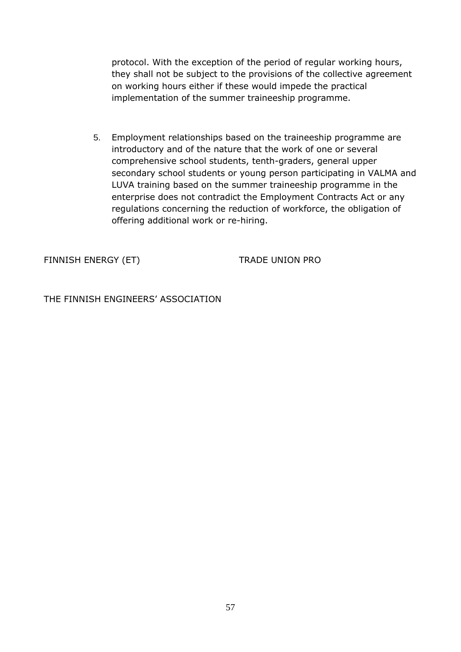protocol. With the exception of the period of regular working hours, they shall not be subject to the provisions of the collective agreement on working hours either if these would impede the practical implementation of the summer traineeship programme.

5. Employment relationships based on the traineeship programme are introductory and of the nature that the work of one or several comprehensive school students, tenth-graders, general upper secondary school students or young person participating in VALMA and LUVA training based on the summer traineeship programme in the enterprise does not contradict the Employment Contracts Act or any regulations concerning the reduction of workforce, the obligation of offering additional work or re-hiring.

FINNISH ENERGY (ET) TRADE UNION PRO

THE FINNISH ENGINEERS' ASSOCIATION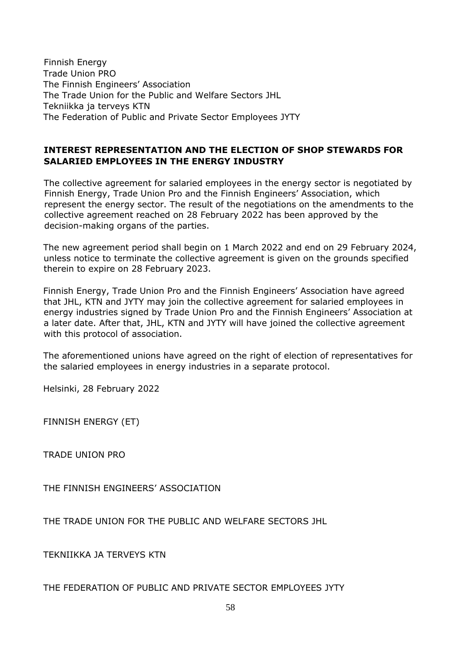Finnish Energy Trade Union PRO The Finnish Engineers' Association The Trade Union for the Public and Welfare Sectors JHL Tekniikka ja terveys KTN The Federation of Public and Private Sector Employees JYTY

#### <span id="page-57-1"></span><span id="page-57-0"></span>**INTEREST REPRESENTATION AND THE ELECTION OF SHOP STEWARDS FOR SALARIED EMPLOYEES IN THE ENERGY INDUSTRY**

The collective agreement for salaried employees in the energy sector is negotiated by Finnish Energy, Trade Union Pro and the Finnish Engineers' Association, which represent the energy sector. The result of the negotiations on the amendments to the collective agreement reached on 28 February 2022 has been approved by the decision-making organs of the parties.

The new agreement period shall begin on 1 March 2022 and end on 29 February 2024, unless notice to terminate the collective agreement is given on the grounds specified therein to expire on 28 February 2023.

Finnish Energy, Trade Union Pro and the Finnish Engineers' Association have agreed that JHL, KTN and JYTY may join the collective agreement for salaried employees in energy industries signed by Trade Union Pro and the Finnish Engineers' Association at a later date. After that, JHL, KTN and JYTY will have joined the collective agreement with this protocol of association.

The aforementioned unions have agreed on the right of election of representatives for the salaried employees in energy industries in a separate protocol.

Helsinki, 28 February 2022

FINNISH ENERGY (ET)

TRADE UNION PRO

THE FINNISH ENGINEERS' ASSOCIATION

THE TRADE UNION FOR THE PUBLIC AND WELFARE SECTORS JHL

TEKNIIKKA JA TERVEYS KTN

THE FEDERATION OF PUBLIC AND PRIVATE SECTOR EMPLOYEES JYTY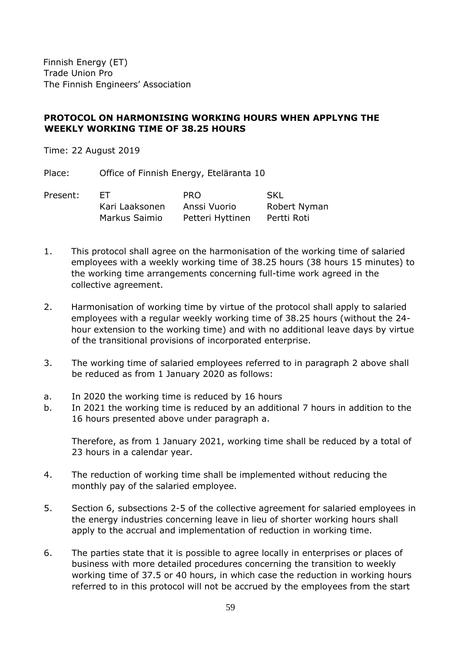Finnish Energy (ET) Trade Union Pro The Finnish Engineers' Association

#### <span id="page-58-0"></span>**PROTOCOL ON HARMONISING WORKING HOURS WHEN APPLYNG THE WEEKLY WORKING TIME OF 38.25 HOURS**

Time: 22 August 2019

Place: Office of Finnish Energy, Eteläranta 10

| Present: | FT.            | PRO.             | - SKL        |
|----------|----------------|------------------|--------------|
|          | Kari Laaksonen | Anssi Vuorio     | Robert Nyman |
|          | Markus Saimio  | Petteri Hyttinen | Pertti Roti  |

- 1. This protocol shall agree on the harmonisation of the working time of salaried employees with a weekly working time of 38.25 hours (38 hours 15 minutes) to the working time arrangements concerning full-time work agreed in the collective agreement.
- 2. Harmonisation of working time by virtue of the protocol shall apply to salaried employees with a regular weekly working time of 38.25 hours (without the 24 hour extension to the working time) and with no additional leave days by virtue of the transitional provisions of incorporated enterprise.
- 3. The working time of salaried employees referred to in paragraph 2 above shall be reduced as from 1 January 2020 as follows:
- a. In 2020 the working time is reduced by 16 hours
- b. In 2021 the working time is reduced by an additional 7 hours in addition to the 16 hours presented above under paragraph a.

Therefore, as from 1 January 2021, working time shall be reduced by a total of 23 hours in a calendar year.

- 4. The reduction of working time shall be implemented without reducing the monthly pay of the salaried employee.
- 5. Section 6, subsections 2-5 of the collective agreement for salaried employees in the energy industries concerning leave in lieu of shorter working hours shall apply to the accrual and implementation of reduction in working time.
- 6. The parties state that it is possible to agree locally in enterprises or places of business with more detailed procedures concerning the transition to weekly working time of 37.5 or 40 hours, in which case the reduction in working hours referred to in this protocol will not be accrued by the employees from the start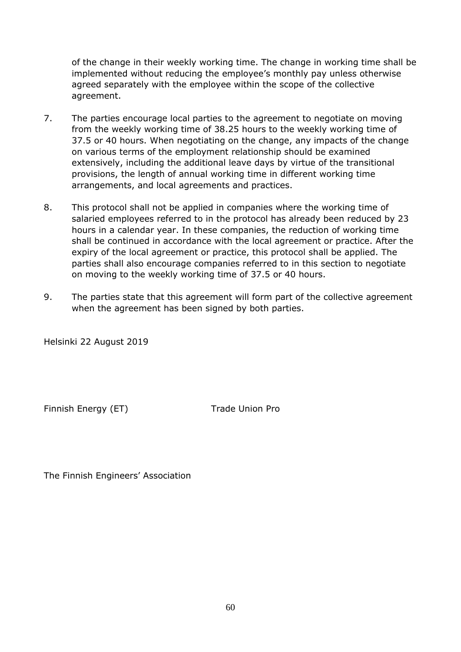of the change in their weekly working time. The change in working time shall be implemented without reducing the employee's monthly pay unless otherwise agreed separately with the employee within the scope of the collective agreement.

- 7. The parties encourage local parties to the agreement to negotiate on moving from the weekly working time of 38.25 hours to the weekly working time of 37.5 or 40 hours. When negotiating on the change, any impacts of the change on various terms of the employment relationship should be examined extensively, including the additional leave days by virtue of the transitional provisions, the length of annual working time in different working time arrangements, and local agreements and practices.
- 8. This protocol shall not be applied in companies where the working time of salaried employees referred to in the protocol has already been reduced by 23 hours in a calendar year. In these companies, the reduction of working time shall be continued in accordance with the local agreement or practice. After the expiry of the local agreement or practice, this protocol shall be applied. The parties shall also encourage companies referred to in this section to negotiate on moving to the weekly working time of 37.5 or 40 hours.
- 9. The parties state that this agreement will form part of the collective agreement when the agreement has been signed by both parties.

Helsinki 22 August 2019

Finnish Energy (ET) Trade Union Pro

The Finnish Engineers' Association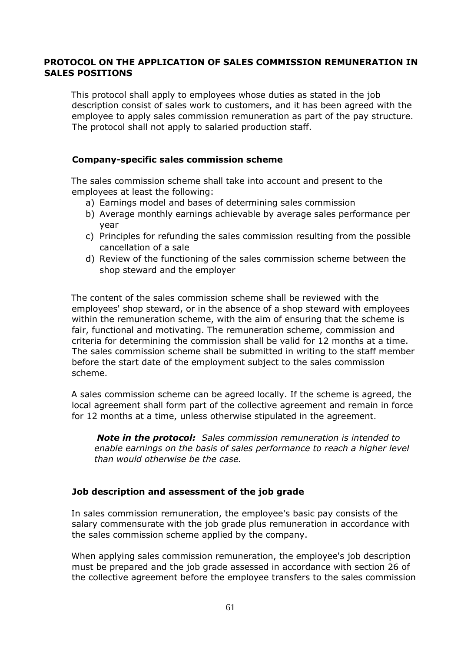#### <span id="page-60-0"></span>**PROTOCOL ON THE APPLICATION OF SALES COMMISSION REMUNERATION IN SALES POSITIONS**

This protocol shall apply to employees whose duties as stated in the job description consist of sales work to customers, and it has been agreed with the employee to apply sales commission remuneration as part of the pay structure. The protocol shall not apply to salaried production staff.

#### **Company-specific sales commission scheme**

The sales commission scheme shall take into account and present to the employees at least the following:

- a) Earnings model and bases of determining sales commission
- b) Average monthly earnings achievable by average sales performance per year
- c) Principles for refunding the sales commission resulting from the possible cancellation of a sale
- d) Review of the functioning of the sales commission scheme between the shop steward and the employer

The content of the sales commission scheme shall be reviewed with the employees' shop steward, or in the absence of a shop steward with employees within the remuneration scheme, with the aim of ensuring that the scheme is fair, functional and motivating. The remuneration scheme, commission and criteria for determining the commission shall be valid for 12 months at a time. The sales commission scheme shall be submitted in writing to the staff member before the start date of the employment subject to the sales commission scheme.

A sales commission scheme can be agreed locally. If the scheme is agreed, the local agreement shall form part of the collective agreement and remain in force for 12 months at a time, unless otherwise stipulated in the agreement.

*Note in the protocol: Sales commission remuneration is intended to enable earnings on the basis of sales performance to reach a higher level than would otherwise be the case.* 

#### **Job description and assessment of the job grade**

In sales commission remuneration, the employee's basic pay consists of the salary commensurate with the job grade plus remuneration in accordance with the sales commission scheme applied by the company.

When applying sales commission remuneration, the employee's job description must be prepared and the job grade assessed in accordance with section 26 of the collective agreement before the employee transfers to the sales commission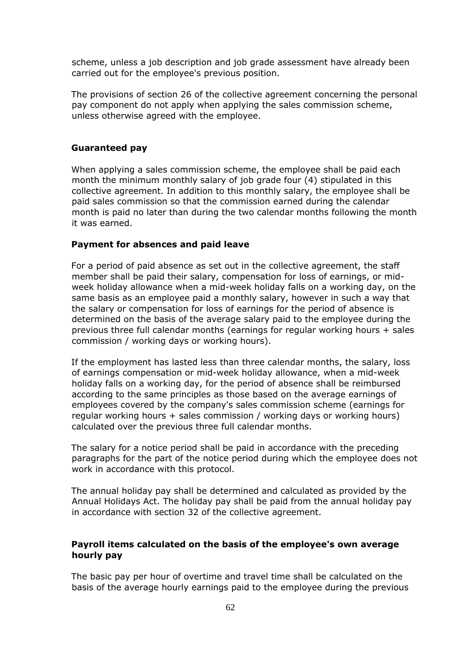scheme, unless a job description and job grade assessment have already been carried out for the employee's previous position.

The provisions of section 26 of the collective agreement concerning the personal pay component do not apply when applying the sales commission scheme, unless otherwise agreed with the employee.

#### **Guaranteed pay**

When applying a sales commission scheme, the employee shall be paid each month the minimum monthly salary of job grade four (4) stipulated in this collective agreement. In addition to this monthly salary, the employee shall be paid sales commission so that the commission earned during the calendar month is paid no later than during the two calendar months following the month it was earned.

#### **Payment for absences and paid leave**

For a period of paid absence as set out in the collective agreement, the staff member shall be paid their salary, compensation for loss of earnings, or midweek holiday allowance when a mid-week holiday falls on a working day, on the same basis as an employee paid a monthly salary, however in such a way that the salary or compensation for loss of earnings for the period of absence is determined on the basis of the average salary paid to the employee during the previous three full calendar months (earnings for regular working hours + sales commission / working days or working hours).

If the employment has lasted less than three calendar months, the salary, loss of earnings compensation or mid-week holiday allowance, when a mid-week holiday falls on a working day, for the period of absence shall be reimbursed according to the same principles as those based on the average earnings of employees covered by the company's sales commission scheme (earnings for regular working hours + sales commission / working days or working hours) calculated over the previous three full calendar months.

The salary for a notice period shall be paid in accordance with the preceding paragraphs for the part of the notice period during which the employee does not work in accordance with this protocol.

The annual holiday pay shall be determined and calculated as provided by the Annual Holidays Act. The holiday pay shall be paid from the annual holiday pay in accordance with section 32 of the collective agreement.

#### **Payroll items calculated on the basis of the employee's own average hourly pay**

The basic pay per hour of overtime and travel time shall be calculated on the basis of the average hourly earnings paid to the employee during the previous